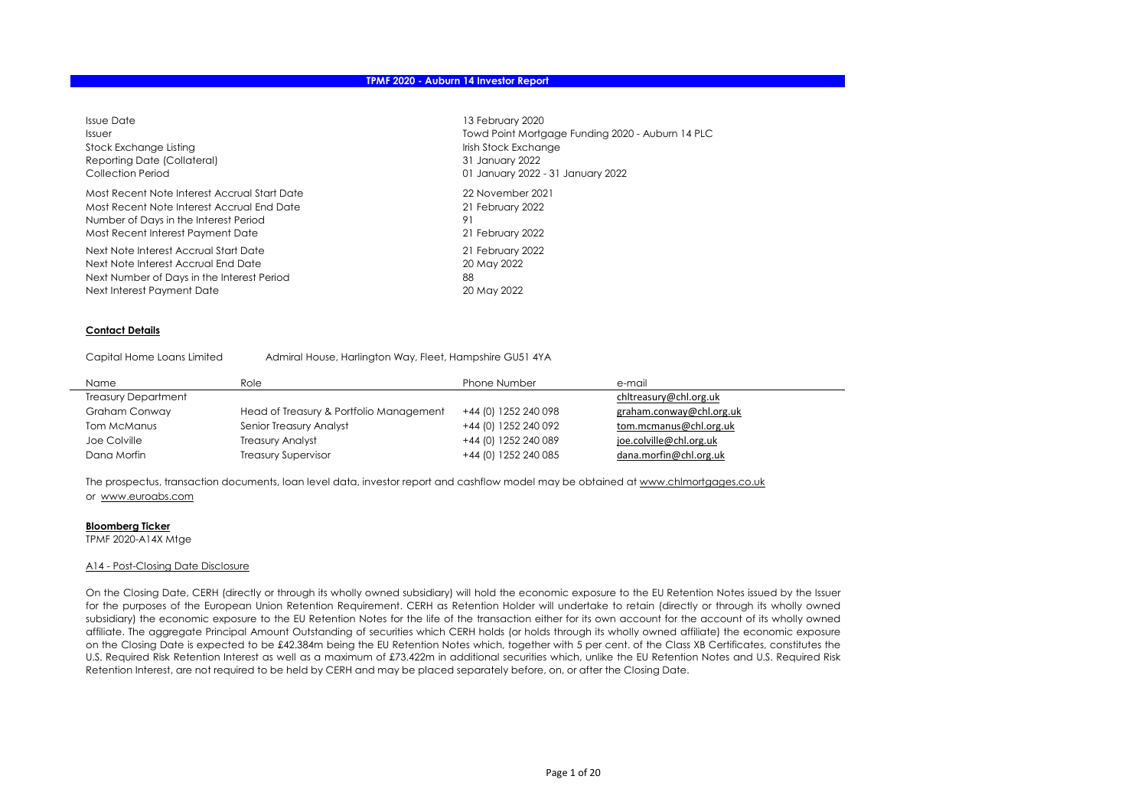| <b>Issue Date</b>                            | 13 February 2020                                 |
|----------------------------------------------|--------------------------------------------------|
| Issuer                                       | Towd Point Mortgage Funding 2020 - Auburn 14 PLC |
| Stock Exchange Listing                       | Irish Stock Exchange                             |
| Reporting Date (Collateral)                  | 31 January 2022                                  |
| Collection Period                            | 01 January 2022 - 31 January 2022                |
| Most Recent Note Interest Accrual Start Date | 22 November 2021                                 |
| Most Recent Note Interest Accrual End Date   | 21 February 2022                                 |
| Number of Days in the Interest Period        | 91                                               |
| Most Recent Interest Payment Date            | 21 February 2022                                 |
| Next Note Interest Accrual Start Date        | 21 February 2022                                 |
| Next Note Interest Accrual End Date          | 20 May 2022                                      |
| Next Number of Days in the Interest Period   | 88                                               |
| Next Interest Payment Date                   | 20 May 2022                                      |

#### Contact Details

Capital Home Loans Limited Admiral House, Harlington Way, Fleet, Hampshire GU51 4YA

| Name                       | Role                                    | Phone Number         | e-mail                   |
|----------------------------|-----------------------------------------|----------------------|--------------------------|
| <b>Treasury Department</b> |                                         |                      | chitreasury@chi.org.uk   |
| Graham Conway              | Head of Treasury & Portfolio Management | +44 (0) 1252 240 098 | graham.conway@chl.org.uk |
| Tom McManus                | Senior Treasury Analyst                 | +44 (0) 1252 240 092 | tom.mcmanus@chl.org.uk   |
| Joe Colville               | <b>Treasury Analyst</b>                 | +44 (0) 1252 240 089 | joe.colville@chl.org.uk  |
| Dana Morfin                | <b>Treasury Supervisor</b>              | +44 (0) 1252 240 085 | dana.morfin@chl.org.uk   |

The prospectus, transaction documents, loan level data, investor report and cashflow model may be obtained at www.chlmortgages.co.uk or www.euroabs.com

#### Bloomberg Ticker

TPMF 2020-A14X Mtge

#### A14 - Post-Closing Date Disclosure

On the Closing Date, CERH (directly or through its wholly owned subsidiary) will hold the economic exposure to the EU Retention Notes issued by the Issuer for the purposes of the European Union Retention Requirement. CERH as Retention Holder will undertake to retain (directly or through its wholly owned subsidiary) the economic exposure to the EU Retention Notes for the life of the transaction either for its own account for the account of its wholly owned affiliate. The aggregate Principal Amount Outstanding of securities which CERH holds (or holds through its wholly owned affiliate) the economic exposure on the Closing Date is expected to be £42.384m being the EU Retention Notes which, together with 5 per cent. of the Class XB Certificates, constitutes the U.S. Required Risk Retention Interest as well as a maximum of £73.422m in additional securities which, unlike the EU Retention Notes and U.S. Required Risk Retention Interest, are not required to be held by CERH and may be placed separately before, on, or after the Closing Date.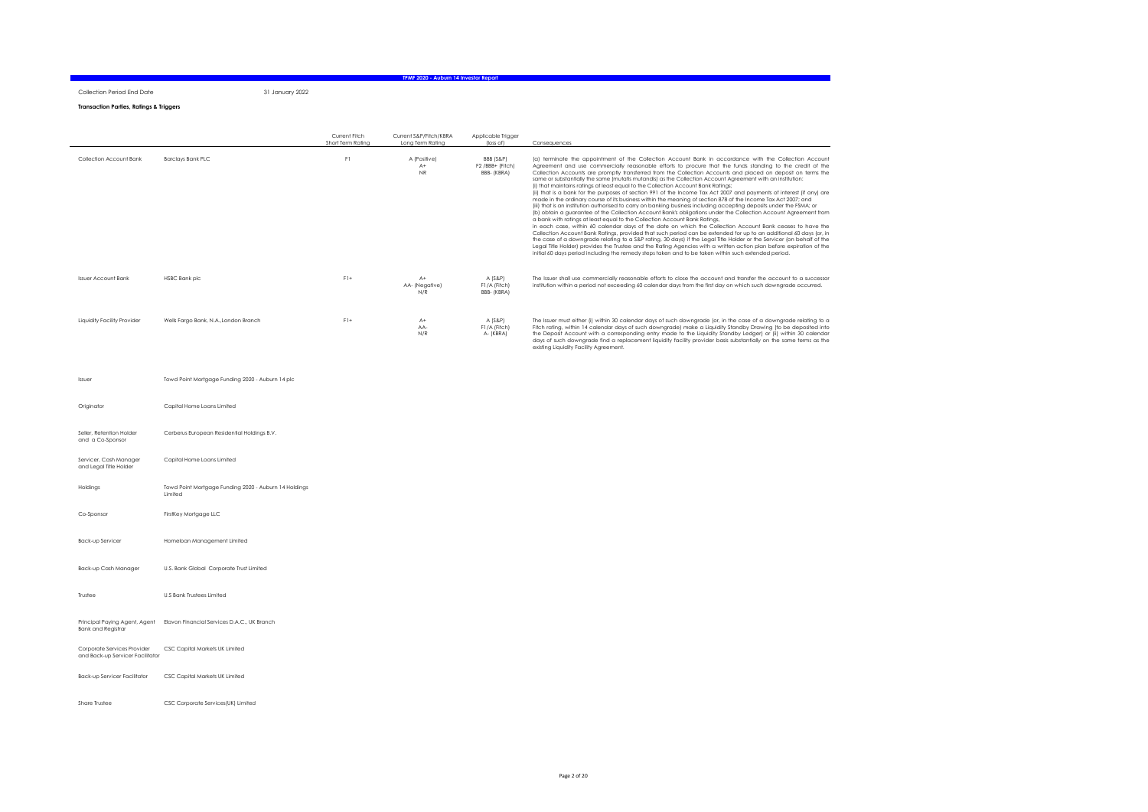Collection Period End Date 31 January 2022

#### Transaction Parties, Ratings & Triggers

|                             |                                       | Current Fitch<br>Short Term Ratina | Current S&P/Fitch/KBRA<br>Long Term Rating | Applicable Trigger<br>(loss of)             | Consequences                                                                                                                                                                                                                                                                                                                                                                                                                                                                                                                                                                                                                                                                                                                                                                                                                                                                                                                                                                                                                                                                                                                                                                                                                                                                                                                                                                                                                                                                                                                                                                                                                                                                                          |
|-----------------------------|---------------------------------------|------------------------------------|--------------------------------------------|---------------------------------------------|-------------------------------------------------------------------------------------------------------------------------------------------------------------------------------------------------------------------------------------------------------------------------------------------------------------------------------------------------------------------------------------------------------------------------------------------------------------------------------------------------------------------------------------------------------------------------------------------------------------------------------------------------------------------------------------------------------------------------------------------------------------------------------------------------------------------------------------------------------------------------------------------------------------------------------------------------------------------------------------------------------------------------------------------------------------------------------------------------------------------------------------------------------------------------------------------------------------------------------------------------------------------------------------------------------------------------------------------------------------------------------------------------------------------------------------------------------------------------------------------------------------------------------------------------------------------------------------------------------------------------------------------------------------------------------------------------------|
| Collection Account Bank     | <b>Barclays Bank PLC</b>              | F1                                 | A (Positive)<br>$A+$<br>NR.                | BBB (S&P)<br>F2/BBB+ (Fitch)<br>BBB- (KBRA) | (a) terminate the appointment of the Collection Account Bank in accordance with the Collection Account<br>Agreement and use commercially reasonable efforts to procure that the funds standing to the credit of the<br>Collection Accounts are promptly transferred from the Collection Accounts and placed on deposit on terms the<br>same or substantially the same (mutatis mutandis) as the Collection Account Agreement with an institution:<br>(i) that maintains ratings at least equal to the Collection Account Bank Ratings:<br>(ii) that is a bank for the purposes of section 991 of the Income Tax Act 2007 and payments of interest (if any) are<br>made in the ordinary course of its business within the meaning of section 878 of the Income Tax Act 2007; and<br>(iii) that is an institution authorised to carry on banking business including accepting deposits under the FSMA; or<br>(b) obtain a guarantee of the Collection Account Bank's obligations under the Collection Account Agreement from<br>a bank with ratinas at least equal to the Collection Account Bank Ratinas.<br>in each case, within 60 calendar days of the date on which the Collection Account Bank ceases to have the<br>Collection Account Bank Ratinas, provided that such period can be extended for up to an additional 60 days (or, in<br>the case of a downgrade relating to a S&P rating, 30 days) if the Legal Title Holder or the Servicer (on behalf of the<br>Legal Title Holder) provides the Trustee and the Rating Agencies with a written action plan before expiration of the<br>initial 60 days period including the remedy steps taken and to be taken within such extended period. |
| <b>Issuer Account Bank</b>  | <b>HSBC Bank plc</b>                  | $F1+$                              | $A+$<br>AA- (Negative)<br>N/R              | $A$ (S&P)<br>F1/A (Fitch)<br>BBB- (KBRA)    | The Issuer shall use commercially reasonable efforts to close the account and transfer the account to a successor<br>institution within a period not exceeding 60 calendar days from the first day on which such downarade occurred.                                                                                                                                                                                                                                                                                                                                                                                                                                                                                                                                                                                                                                                                                                                                                                                                                                                                                                                                                                                                                                                                                                                                                                                                                                                                                                                                                                                                                                                                  |
| Liquidity Facility Provider | Wells Farao Bank, N.A., London Branch | $F1+$                              | $A+$<br>AA-<br>N/R                         | A (S&P)<br>F1/A (Fitch)<br>A- (KBRA)        | The Issuer must either (i) within 30 calendar days of such downgrade (or, in the case of a downgrade relating to a<br>Fitch rating, within 14 calendar days of such downarade) make a Liquidity Standby Drawing (to be deposited into<br>the Deposit Account with a corresponding entry made to the Liquidity Standby Ledger) or (ii) within 30 calendar<br>days of such downgrade find a replacement liquidity facility provider basis substantially on the same terms as the<br>existing Liquidity Facility Agreement.                                                                                                                                                                                                                                                                                                                                                                                                                                                                                                                                                                                                                                                                                                                                                                                                                                                                                                                                                                                                                                                                                                                                                                              |

TPMF 2020 - Auburn 14 Investor Report

| Issuer                                                          | Towd Point Mortgage Funding 2020 - Auburn 14 plc                 |
|-----------------------------------------------------------------|------------------------------------------------------------------|
| Originator                                                      | Capital Home Loans Limited                                       |
| Seller, Retention Holder<br>and a Co-Sponsor                    | Cerberus European Residential Holdings B.V.                      |
| Servicer, Cash Manager<br>and Legal Title Holder                | Capital Home Loans Limited                                       |
| Holdings                                                        | Towd Point Mortgage Funding 2020 - Auburn 14 Holdings<br>Limited |
| Co-Sponsor                                                      | FirstKey Mortgage LLC                                            |
| Back-up Servicer                                                | Homeloan Management Limited                                      |
| Back-up Cash Manager                                            | U.S. Bank Global Corporate Trust Limited                         |
| Trustee                                                         | <b>U.S Bank Trustees Limited</b>                                 |
| Principal Paying Agent, Agent<br><b>Bank and Registrar</b>      | Elavon Financial Services D.A.C., UK Branch                      |
| Corporate Services Provider<br>and Back-up Servicer Facilitator | CSC Capital Markets UK Limited                                   |
| Back-up Servicer Facilitator                                    | CSC Capital Markets UK Limited                                   |
| Share Trustee                                                   | CSC Corporate Services(UK) Limited                               |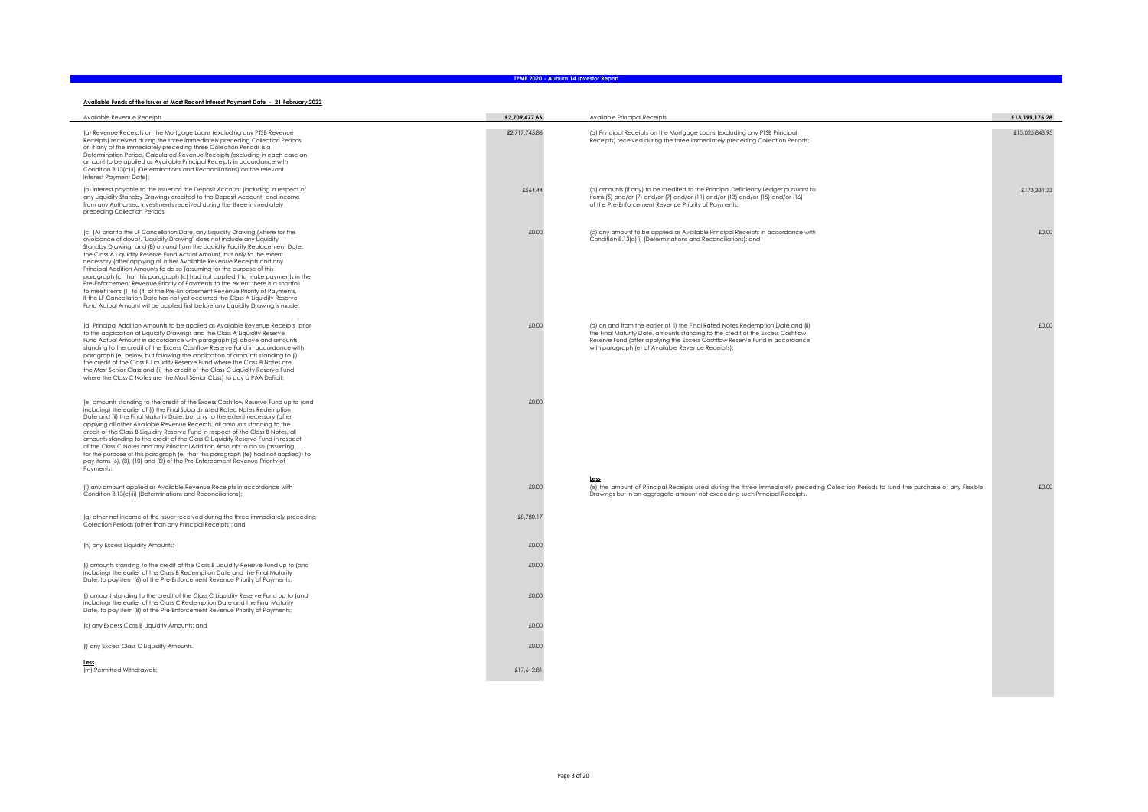#### Available Funds of the Issuer at Most Recent Interest Payment Date - 21 February 2022

| Available Revenue Receipts                                                                                                                                                                                                                                                                                                                                                                                                                                                                                                                                                                                                                                                                                                                                                                                                                                                                           | £2,709,477.66 | Available Principal Receipts                                                                                                                                                                                                                                                                             | £13,199,175.28 |
|------------------------------------------------------------------------------------------------------------------------------------------------------------------------------------------------------------------------------------------------------------------------------------------------------------------------------------------------------------------------------------------------------------------------------------------------------------------------------------------------------------------------------------------------------------------------------------------------------------------------------------------------------------------------------------------------------------------------------------------------------------------------------------------------------------------------------------------------------------------------------------------------------|---------------|----------------------------------------------------------------------------------------------------------------------------------------------------------------------------------------------------------------------------------------------------------------------------------------------------------|----------------|
| (a) Revenue Receipts on the Mortgage Loans (excluding any PTSB Revenue<br>Receipts) received during the three immediately preceding Collection Periods<br>or, if any of the immediately preceding three Collection Periods is a<br>Determination Period, Calculated Revenue Receipts (excluding in each case an<br>amount to be applied as Available Principal Receipts in accordance with<br>Condition 8.13(c)(i) (Determinations and Reconciliations) on the relevant<br>Interest Payment Date);                                                                                                                                                                                                                                                                                                                                                                                                   | £2,717,745.86 | (a) Principal Receipts on the Mortgage Loans (excluding any PTSB Principal<br>Receipts) received during the three immediately preceding Collection Periods;                                                                                                                                              | £13,025,843.95 |
| (b) interest payable to the Issuer on the Deposit Account (including in respect of<br>any Liquidity Standby Drawings credited to the Deposit Account) and income<br>from any Authorised Investments received during the three immediately<br>preceding Collection Periods;                                                                                                                                                                                                                                                                                                                                                                                                                                                                                                                                                                                                                           | £564.44       | (b) amounts (if any) to be credited to the Principal Deficiency Ledger pursuant to<br>items (5) and/or (7) and/or (9) and/or (11) and/or (13) and/or (15) and/or (16)<br>of the Pre-Enforcement Revenue Priority of Payments;                                                                            | £173.331.33    |
| (c) (A) prior to the LF Cancellation Date, any Liquidity Drawing (where for the<br>avoidance of doubt, "Liquidity Drawing" does not include any Liquidity<br>Standby Drawing) and (B) on and from the Liquidity Facility Replacement Date,<br>the Class A Liquidity Reserve Fund Actual Amount, but only to the extent<br>necessary (after applying all other Available Revenue Receipts and any<br>Principal Addition Amounts to do so (assuming for the purpose of this<br>paragraph (c) that this paragraph (c) had not applied)) to make payments in the<br>Pre-Enforcement Revenue Priority of Payments to the extent there is a shortfall<br>to meet items (1) to (4) of the Pre-Enforcement Revenue Priority of Payments.<br>If the LF Cancellation Date has not yet occurred the Class A Liquidity Reserve<br>Fund Actual Amount will be applied first before any Liquidity Drawing is made; | £0.00         | (c) any amount to be applied as Available Principal Receipts in accordance with<br>Condition 8.13(c)(i) (Determinations and Reconciliations); and                                                                                                                                                        | £0.00          |
| (d) Principal Addition Amounts to be applied as Available Revenue Receipts (prior<br>to the application of Liquidity Drawings and the Class A Liquidity Reserve<br>Fund Actual Amount in accordance with paragraph (c) above and amounts<br>standing to the credit of the Excess Cashflow Reserve Fund in accordance with<br>paragraph (e) below, but following the application of amounts standing to (i)<br>the credit of the Class B Liquidity Reserve Fund where the Class B Notes are<br>the Most Senior Class and (ii) the credit of the Class C Liquidity Reserve Fund<br>where the Class C Notes are the Most Senior Class) to pay a PAA Deficit;                                                                                                                                                                                                                                            | £0.00         | (d) on and from the earlier of (i) the Final Rated Notes Redemption Date and (ii)<br>the Final Maturity Date, amounts standing to the credit of the Excess Cashflow<br>Reserve Fund (after applying the Excess Cashflow Reserve Fund in accordance<br>with paragraph (e) of Available Revenue Receipts); | £0.00          |
| (e) amounts standing to the credit of the Excess Cashflow Reserve Fund up to (and<br>including) the earlier of (i) the Final Subordinated Rated Notes Redemption<br>Date and (ii) the Final Maturity Date, but only to the extent necessary (after<br>applying all other Available Revenue Receipts, all amounts standing to the<br>credit of the Class B Liquidity Reserve Fund in respect of the Class B Notes, all<br>amounts standing to the credit of the Class C Liquidity Reserve Fund in respect<br>of the Class C Notes and any Principal Addition Amounts to do so (assuming<br>for the purpose of this paragraph (e) that this paragraph (fe) had not applied)) to<br>pay items (6), (8), (10) and (12) of the Pre-Enforcement Revenue Priority of<br>Payments;                                                                                                                           | £0.00         |                                                                                                                                                                                                                                                                                                          |                |
| (f) any amount applied as Available Revenue Receipts in accordance with<br>Condition 8.13(c)(ii) (Determinations and Reconciliations);                                                                                                                                                                                                                                                                                                                                                                                                                                                                                                                                                                                                                                                                                                                                                               | £0.00         | Less<br>(e) the amount of Principal Receipts used during the three immediately preceding Collection Periods to fund the purchase of any Flexible<br>Drawings but in an aggregate amount not exceeding such Principal Receipts.                                                                           | £0.00          |
| (g) other net income of the Issuer received during the three immediately preceding<br>Collection Periods (other than any Principal Receipts); and                                                                                                                                                                                                                                                                                                                                                                                                                                                                                                                                                                                                                                                                                                                                                    | £8,780.17     |                                                                                                                                                                                                                                                                                                          |                |
| (h) any Excess Liquidity Amounts;                                                                                                                                                                                                                                                                                                                                                                                                                                                                                                                                                                                                                                                                                                                                                                                                                                                                    | £0.00         |                                                                                                                                                                                                                                                                                                          |                |
| (i) amounts standing to the credit of the Class B Liquidity Reserve Fund up to (and<br>including) the earlier of the Class B Redemption Date and the Final Maturity<br>Date, to pay item (6) of the Pre-Enforcement Revenue Priority of Payments;                                                                                                                                                                                                                                                                                                                                                                                                                                                                                                                                                                                                                                                    | £0.00         |                                                                                                                                                                                                                                                                                                          |                |
| (i) amount standing to the credit of the Class C Liquidity Reserve Fund up to (and<br>including) the earlier of the Class C Redemption Date and the Final Maturity<br>Date, to pay item (8) of the Pre-Enforcement Revenue Priority of Payments;                                                                                                                                                                                                                                                                                                                                                                                                                                                                                                                                                                                                                                                     | £0.00         |                                                                                                                                                                                                                                                                                                          |                |
| (k) any Excess Class B Liquidity Amounts; and                                                                                                                                                                                                                                                                                                                                                                                                                                                                                                                                                                                                                                                                                                                                                                                                                                                        | £0.00         |                                                                                                                                                                                                                                                                                                          |                |
| (I) any Excess Class C Liquidity Amounts.                                                                                                                                                                                                                                                                                                                                                                                                                                                                                                                                                                                                                                                                                                                                                                                                                                                            | £0.00         |                                                                                                                                                                                                                                                                                                          |                |
| Less<br>(m) Permitted Withdrawals;                                                                                                                                                                                                                                                                                                                                                                                                                                                                                                                                                                                                                                                                                                                                                                                                                                                                   | £17,612.81    |                                                                                                                                                                                                                                                                                                          |                |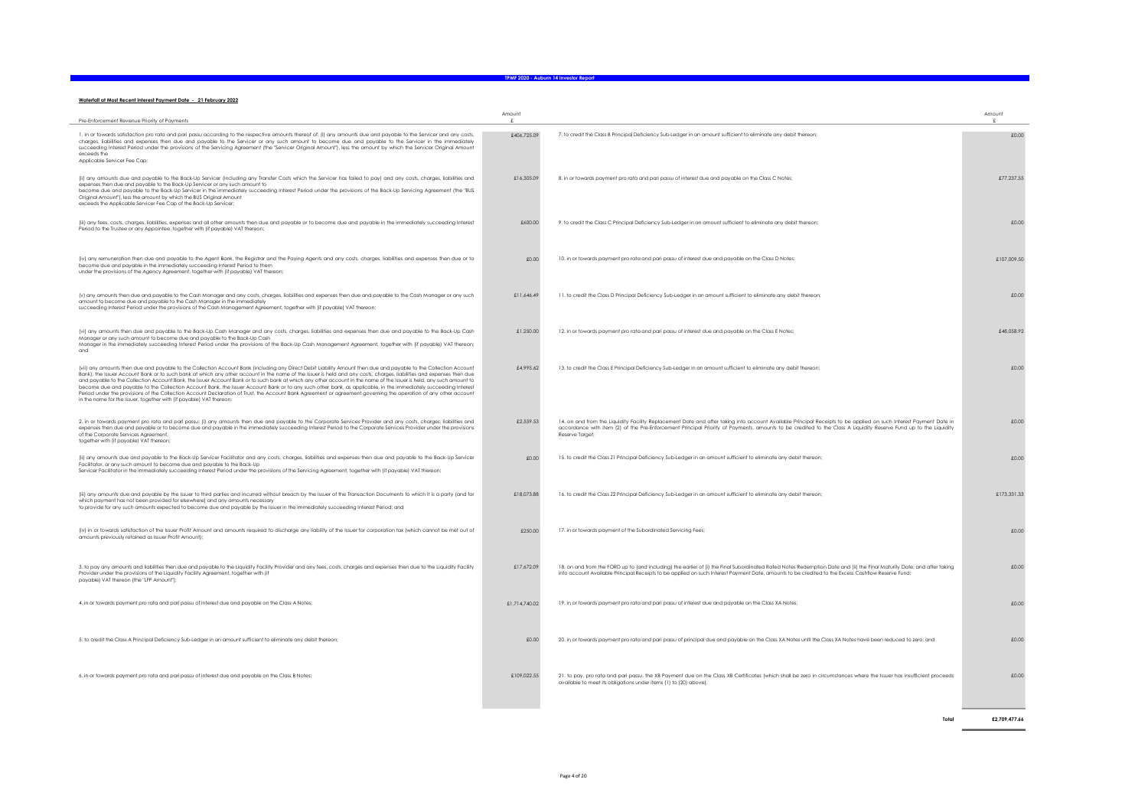#### Waterfall at Most Recent Interest Payment Date - 21 February 2022

| Pre-Enforcement Revenue Priority of Payments                                                                                                                                                                                                                                                                                                                                                                                                                                                                                                                                                                                                                                                                                                                                                                                                                                                                                     | Amount        |                                                                                                                                                                                                                                                                                                                                                          | Amount        |
|----------------------------------------------------------------------------------------------------------------------------------------------------------------------------------------------------------------------------------------------------------------------------------------------------------------------------------------------------------------------------------------------------------------------------------------------------------------------------------------------------------------------------------------------------------------------------------------------------------------------------------------------------------------------------------------------------------------------------------------------------------------------------------------------------------------------------------------------------------------------------------------------------------------------------------|---------------|----------------------------------------------------------------------------------------------------------------------------------------------------------------------------------------------------------------------------------------------------------------------------------------------------------------------------------------------------------|---------------|
| 1. in or towards satisfaction pro rata and pari passu according to the respective amounts thereof of: (i) any amounts due and payable to the Servicer and any costs,<br>charges, liabilities and expenses then due and payable to the Servicer or any such amount to become due and payable to the Servicer in the immediately<br>succeeding Interest Period under the provisions of the Servicing Agreement (the "Servicer Original Amount"), less the amount by which the Servicer Original Amount<br>exceeds the<br>Applicable Servicer Fee Cap:                                                                                                                                                                                                                                                                                                                                                                              | £406,725.09   | 7. to credit the Class B Principal Deficiency Sub-Ledger in an amount sufficient to eliminate any debit thereon;                                                                                                                                                                                                                                         | £0.00         |
| (ii) any amounts due and payable to the Back-Up Servicer (including any Transfer Costs which the Servicer has failed to pay) and any costs, charges, liabilities and<br>expenses then due and payable to the Back-Up Servicer or any such amount to<br>become due and payable to the Back-Up Servicer in the immediately succeeding Interest Period under the provisions of the Back-Up Servicing Agreement (the "BUS<br>Original Amount"), less the amount by which the BUS Original Amount<br>exceeds the Applicable Servicer Fee Cap of the Back-Up Servicer;                                                                                                                                                                                                                                                                                                                                                                 | £16,305.09    | 8. in or towards payment pro rata and pari passu of interest due and payable on the Class C Notes;                                                                                                                                                                                                                                                       | £77,237,55    |
| (iii) any fees, costs, charges, liabilities, expenses and all other amounts then due and payable or to become due and payable in the immediately succeeding Interest<br>Period to the Trustee or any Appointee, together with (if payable) VAT thereon;                                                                                                                                                                                                                                                                                                                                                                                                                                                                                                                                                                                                                                                                          | £600.00       | 9. to credit the Class C Principal Deficiency Sub-Ledger in an amount sufficient to eliminate any debit thereon;                                                                                                                                                                                                                                         | £0.00         |
| (iv) any remuneration then due and payable to the Agent Bank, the Registrar and the Paying Agents and any costs, charges, liabilities and expenses then due or to<br>become due and payable in the immediately succeeding Interest Period to them<br>under the provisions of the Agency Agreement, together with (if payable) VAT thereon;                                                                                                                                                                                                                                                                                                                                                                                                                                                                                                                                                                                       | £0.00         | 10. in or towards payment pro rata and pari passu of interest due and payable on the Class D Notes;                                                                                                                                                                                                                                                      | £107.009.50   |
| (v) any amounts then due and payable to the Cash Manager and any costs, charges, liabilities and expenses then due and payable to the Cash Manager or any such<br>amount to become due and payable to the Cash Manager in the immediately<br>succeeding Interest Period under the provisions of the Cash Management Agreement, together with (if payable) VAT thereon:                                                                                                                                                                                                                                                                                                                                                                                                                                                                                                                                                           | £11.646.49    | 11. to credit the Class D Principal Deficiency Sub-Ledger in an amount sufficient to eliminate any debit thereon;                                                                                                                                                                                                                                        | £0.00         |
| (vi) any amounts then due and payable to the Back-Up Cash Manager and any costs, charges, liabilities and expenses then due and payable to the Back-Up Cash<br>Manager or any such amount to become due and payable to the Back-Up Cash<br>Manager in the immediately succeeding Interest Period under the provisions of the Back-Up Cash Management Agreement, together with (if payable) VAT thereon;<br>and                                                                                                                                                                                                                                                                                                                                                                                                                                                                                                                   | £1,250.00     | 12. in or towards payment pro rata and pari passu of interest due and payable on the Class E Notes;                                                                                                                                                                                                                                                      | £48.058.92    |
| (vii) any amounts then due and payable to the Collection Account Bank (including any Direct Debit Liability Amount then due and payable to the Collection Account<br>Bank], the Issuer Account Bank or to such bank at which any other account in the name of the Issuer is held and any costs, charges, liabilities and expenses then due<br>and payable to the Collection Account Bank, the Issuer Account Bank or to such bank at which any other account in the name of the Issuer is held, any such amount to<br>become due and payable to the Collection Account Bank, the Issuer Account Bank or to any such other bank, as applicable, in the immediately succeeding Interest<br>Period under the provisions of the Collection Account Declaration of Trust, the Account Bank Agreement or agreement governing the operation of any other account<br>in the name for the Issuer, together with (if payable) VAT thereon; | £4,995.62     | 13. to credit the Class E Principal Deficiency Sub-Ledger in an amount sufficient to eliminate any debit thereon;                                                                                                                                                                                                                                        | £0.00         |
| 2. in or towards payment pro rata and pari passu: (i) any amounts then due and payable to the Corporate Services Provider and any costs, charges, liabilities and<br>expenses then due and payable or to become due and payable in the immediately succeeding Interest Period to the Corporate Services Provider under the provisions<br>of the Corporate Services Agreement<br>together with (if payable) VAT thereon;                                                                                                                                                                                                                                                                                                                                                                                                                                                                                                          | £2.559.53     | 14. on and from the Liquidity Facility Replacement Date and after taking into account Available Principal Receipts to be applied on such Interest Payment Date in<br>accordance with item (2) of the Pre-Enforcement Principal Priority of Payments, amounts to be credited to the Class A Liquidity Reserve Fund up to the Liquidity<br>Reserve Target: | £0.00         |
| (ii) any amounts due and payable to the Back-Up Servicer Facilitator and any costs, charges, liabilities and expenses then due and payable to the Back-Up Servicer<br>Facilitator, or any such amount to become due and payable to the Back-Up<br>Servicer Facilitator in the immediately succeeding Interest Period under the provisions of the Servicing Agreement, together with (if payable) VAT thereon;                                                                                                                                                                                                                                                                                                                                                                                                                                                                                                                    | £0.00         | 15. to credit the Class Z1 Principal Deficiency Sub-Ledger in an amount sufficient to eliminate any debit thereon                                                                                                                                                                                                                                        | £0.00         |
| (iii) any amounts due and payable by the Issuer to third parties and incurred without breach by the Issuer of the Transaction Documents to which it is a party (and for<br>which payment has not been provided for elsewhere) and any amounts necessary<br>to provide for any such amounts expected to become due and payable by the Issuer in the immediately succeeding Interest Period: and                                                                                                                                                                                                                                                                                                                                                                                                                                                                                                                                   | £18,073,88    | 16. to credit the Class Z2 Principal Deficiency Sub-Ledger in an amount sufficient to eliminate any debit thereon;                                                                                                                                                                                                                                       | £173.331.33   |
| (iv) in or towards satisfaction of the Issuer Profit Amount and amounts required to discharge any liability of the Issuer for corporation tax (which cannot be met out of<br>amounts previously retained as Issuer Profit Amount);                                                                                                                                                                                                                                                                                                                                                                                                                                                                                                                                                                                                                                                                                               | £250.00       | 17. in or towards payment of the Subordinated Servicing Fees;                                                                                                                                                                                                                                                                                            | £0.00         |
| 3. to pay any amounts and liabilities then due and payable to the Liquidity Facility Provider and any fees, costs, charges and expenses then due to the Liquidity Facility<br>Provider under the provisions of the Liquidity Facility Agreement, together with (if<br>payable) VAT thereon (the "LFP Amount");                                                                                                                                                                                                                                                                                                                                                                                                                                                                                                                                                                                                                   | £17,672.09    | 18. on and from the FORD up to (and including) the earlier of (i) the Final Subordinated Rated Notes Redemption Date and (ii) the Final Maturity Date, and after taking<br>into account Available Principal Receipts to be applied on such Interest Payment Date, amounts to be credited to the Excess Cashflow Reserve Fund;                            | £0.00         |
| 4. in or towards payment pro rata and pari passu of interest due and payable on the Class A Notes;                                                                                                                                                                                                                                                                                                                                                                                                                                                                                                                                                                                                                                                                                                                                                                                                                               | £1,714,740.02 | 19. in or towards payment pro rata and pari passu of interest due and payable on the Class XA Notes;                                                                                                                                                                                                                                                     | £0.00         |
| 5. to credit the Class A Principal Deficiency Sub-Ledger in an amount sufficient to eliminate any debit thereon;                                                                                                                                                                                                                                                                                                                                                                                                                                                                                                                                                                                                                                                                                                                                                                                                                 | £0.00         | 20. in or towards payment pro rata and pari passu of principal due and payable on the Class XA Notes until the Class XA Notes have been reduced to zero; and                                                                                                                                                                                             | £0.00         |
| 6. in or towards payment pro rata and pari passu of interest due and payable on the Class B Notes;                                                                                                                                                                                                                                                                                                                                                                                                                                                                                                                                                                                                                                                                                                                                                                                                                               | £109.022.55   | 21. to pay, pro rata and pari passu, the XB Payment due on the Class XB Certificates (which shall be zero in circumstances where the Issuer has insufficient proceeds<br>available to meet its obligations under items (1) to (20) above).                                                                                                               | £0.00         |
|                                                                                                                                                                                                                                                                                                                                                                                                                                                                                                                                                                                                                                                                                                                                                                                                                                                                                                                                  |               | Total                                                                                                                                                                                                                                                                                                                                                    | £2 709 477.66 |

a sa kacamatan ing Kabupatèn Kabupatèn Kabupatèn Kabupatèn Kabupatèn Kabupatèn Kabupatèn Kabupatèn Kabupatèn K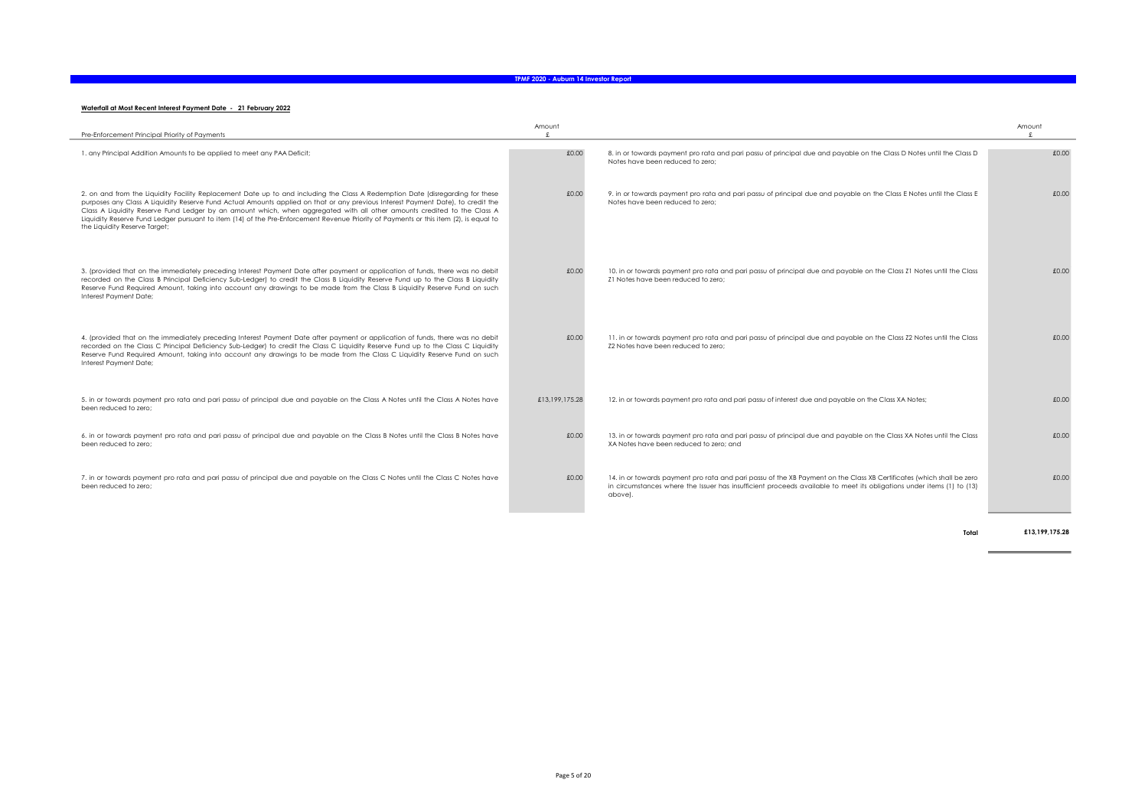#### Waterfall at Most Recent Interest Payment Date - 21 February 2022

| Pre-Enforcement Principal Priority of Payments                                                                                                                                                                                                                                                                                                                                                                                                                                                                                                                           | Amount         |                                                                                                                                                                                                                                                           | Amount |
|--------------------------------------------------------------------------------------------------------------------------------------------------------------------------------------------------------------------------------------------------------------------------------------------------------------------------------------------------------------------------------------------------------------------------------------------------------------------------------------------------------------------------------------------------------------------------|----------------|-----------------------------------------------------------------------------------------------------------------------------------------------------------------------------------------------------------------------------------------------------------|--------|
| 1. any Principal Addition Amounts to be applied to meet any PAA Deficit;                                                                                                                                                                                                                                                                                                                                                                                                                                                                                                 | £0.00          | 8. in or towards payment pro rata and pari passu of principal due and payable on the Class D Notes until the Class D<br>Notes have been reduced to zero;                                                                                                  | £0.00  |
| 2. on and from the Liquidity Facility Replacement Date up to and including the Class A Redemption Date (disregarding for these<br>purposes any Class A Liquidity Reserve Fund Actual Amounts applied on that or any previous Interest Payment Date), to credit the<br>Class A Liquidity Reserve Fund Ledger by an amount which, when aggregated with all other amounts credited to the Class A<br>Liquidity Reserve Fund Ledger pursuant to item (14) of the Pre-Enforcement Revenue Priority of Payments or this item (2), is equal to<br>the Liquidity Reserve Target; | £0.00          | 9. in or towards payment pro rata and pari passu of principal due and payable on the Class E Notes until the Class E<br>Notes have been reduced to zero:                                                                                                  | £0.00  |
| 3. (provided that on the immediately preceding Interest Payment Date after payment or application of funds, there was no debit<br>recorded on the Class B Principal Deficiency Sub-Ledger) to credit the Class B Liquidity Reserve Fund up to the Class B Liquidity<br>Reserve Fund Required Amount, taking into account any drawings to be made from the Class B Liquidity Reserve Fund on such<br>Interest Payment Date;                                                                                                                                               | £0.00          | 10. in or towards payment pro rata and pari passu of principal due and payable on the Class Z1 Notes until the Class<br>Z1 Notes have been reduced to zero:                                                                                               | £0.00  |
| 4. (provided that on the immediately preceding Interest Payment Date after payment or application of funds, there was no debit<br>recorded on the Class C Principal Deficiency Sub-Ledger) to credit the Class C Liquidity Reserve Fund up to the Class C Liquidity<br>Reserve Fund Required Amount, taking into account any drawings to be made from the Class C Liquidity Reserve Fund on such<br>Interest Payment Date;                                                                                                                                               | £0.00          | 11. in or towards payment pro rata and pari passu of principal due and payable on the Class Z2 Notes until the Class<br>Z2 Notes have been reduced to zero:                                                                                               | £0.00  |
| 5. in or towards payment pro rata and pari passu of principal due and payable on the Class A Notes until the Class A Notes have<br>been reduced to zero:                                                                                                                                                                                                                                                                                                                                                                                                                 | £13,199,175,28 | 12. in or towards payment pro rata and pari passu of interest due and payable on the Class XA Notes;                                                                                                                                                      | £0.00  |
| 6. in or towards payment pro rata and pari passu of principal due and payable on the Class B Notes until the Class B Notes have<br>been reduced to zero:                                                                                                                                                                                                                                                                                                                                                                                                                 | £0.00          | 13. in or towards payment pro rata and pari passu of principal due and payable on the Class XA Notes until the Class<br>XA Notes have been reduced to zero; and                                                                                           | £0.00  |
| 7. in or towards payment pro rata and pari passu of principal due and payable on the Class C Notes until the Class C Notes have<br>been reduced to zero:                                                                                                                                                                                                                                                                                                                                                                                                                 | £0.00          | 14. in or towards payment pro rata and pari passu of the XB Payment on the Class XB Certificates (which shall be zero<br>in circumstances where the Issuer has insufficient proceeds available to meet its obligations under items (1) to (13)<br>above). | £0.00  |

Total £13,199,175.28

 $\overline{\phantom{a}}$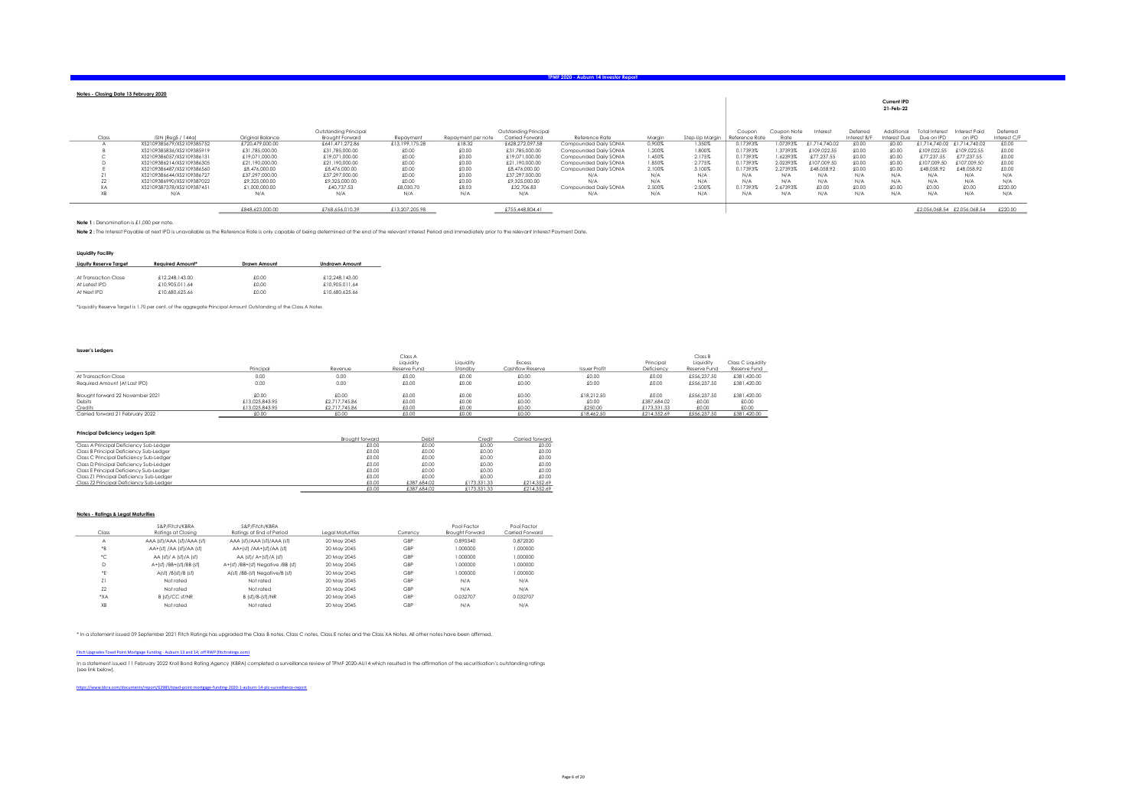|        |                           |                  |                        |                |                    |                       |                        |        |                |                |             |               |              | Current IPD  |                             |                             |              |
|--------|---------------------------|------------------|------------------------|----------------|--------------------|-----------------------|------------------------|--------|----------------|----------------|-------------|---------------|--------------|--------------|-----------------------------|-----------------------------|--------------|
|        |                           |                  |                        |                |                    |                       |                        |        |                |                |             |               |              | 21-Feb-22    |                             |                             |              |
|        |                           |                  |                        |                |                    |                       |                        |        |                |                |             |               |              |              |                             |                             |              |
|        |                           |                  | Outstanding Principal  |                |                    | Outstanding Principal |                        |        |                | Coupon         | Coupon Note | Intere:       | Deferred     | Additional   | Total Interest              | Interest Paid               | Deferred     |
| Class  | ISIN (ReaS / 144a)        | Original Balance | <b>Brought Forward</b> | Repayment      | Repayment per note | Carried Forward       | Reference Rate         | Marain | Step-Up Marain | Reference Rate | Rate        |               | Interest B/F | Interest Due | Due on IPD                  | on IPD                      | Interest C/F |
|        | XS2109385679/XS2109385752 | £720.479.000.00  | £641.471.272.86        | £13,199,175.28 | £18.32             | £628,272,097.58       | Compounded Daily SONIA | 0.900% | 1.350%         | 0.17393%       | 1.07393%    | £1,714,740.02 | £0.00        | £0.00        |                             | £1.714.740.02 £1.714.740.02 | £0.00        |
|        | XS2109385836/XS2109385919 | £31,785,000.00   | £31,785,000.00         | £0.00          | £0.00              | £31,785,000.00        | Compounded Daily SONIA | 1.200% | 1.800%         | 0.17393%       | 1.37393%    | £109.022.55   | £0.00        | £0.00        | £109.022.55                 | £109.022.55                 | 00.03        |
|        | XS2109386057/XS2109386131 | £19.071.000.00   | £19.071.000.00         | £0.00          | £0.00              | £19.071.000.00        | Compounded Daily SONIA | 1.450% | 2.175%         | 0.17393%       | 1.62393%    | £77.237.55    | £0.00        | £0.00        | 277.237.55                  | £77,237.55                  | £0.00        |
|        | XS2109386214/XS2109386305 | £21.190.000.00   | £21,190,000.00         | £0.00          | £0.00              | £21,190,000.00        | Compounded Daily SONIA | 1.850% | 2.775%         | 0.17393%       | 2.02393%    | £107.009.50   | £0.00        | £0.00        | 107.009.50                  | £107,009.50                 | £0.00        |
|        | XS2109386487/XS2109386560 | £8,476,000,00    | £8,476,000.00          | £0.00          | £0.00              | £8,476,000.00         | Compounded Daily SONIA | 2.100% | 3.100%         | 0.17393%       | 2.27393%    | £48.058.92    | CO.03        | £0.00        | £48.058.92                  | £48.058.92                  | £0.00        |
|        | XS2109386644/XS2109386727 | £37,297,000.00   | £37,297,000.00         | £0.00          | £0.00              | £37.297.000.00        | N/A                    | N/A    | N/A            | N/A            | N/A         | N/A           | N/A          | N/A          | N/A                         | N/A                         | N/A          |
|        | XS2109386990/XS2109387022 | £9,325,000.00    | £9,325,000.00          | £0.00          | £0.00              | £9,325,000.00         | N/A                    | N/A    | N/A            | N/A            | N/A         | N/A           | N/A          | N/A          | N/A                         | N/A                         | N/A          |
| $\sim$ | XS2109387378/XS2109387451 | £1,000,000,00    | £40.737.53             | £8,030.70      | £8.03              | £32.706.83            | Compounded Daily SONIA | 2.500% | 2.500%         | 0.17393%       | 2.67393%    | £0.00         | £0.00        | £0.00        | £0.00                       | £0.00                       | £220.00      |
|        | N/A                       | N/A              | N/A                    | N/A            | N/A                | N/A                   | N/A                    | N/A    | N/A            | N/A            | N/A         | N/A           | N/A          | N/A          | N/A                         | N/A                         | N/A          |
|        |                           | £848,623,000.00  | £768,656,010.39        | £13,207,205.98 |                    | £755,448,804.41       |                        |        |                |                |             |               |              |              | £2,056,068.54 £2,056,068.54 |                             | £220.00      |

#### Note 1 : Denomination is £1,000 per note.

Notes - Closing Date 13 February 2020

Note 2 : The Interest Payable at next IPD is unavailable as the Reference Rate is only capable of being determined at the end of the relevant Interest Period and immediately prior to the relevant Interest Payment Date.

#### Liquidity Facility

| Liauity Reserve Taraet | <b>Reauired Amount*</b> | Drawn Amount | <b>Undrawn Amount</b> |
|------------------------|-------------------------|--------------|-----------------------|
|                        |                         |              |                       |
| At Transaction Close   | £12.248.143.00          | £0.00        | £12.248.143.00        |
| At Latest IPD          | £10,905,011.64          | £0.00        | £10,905,011.64        |
| At Next IPD            | £10,680,625,66          | £0.00        | £10,680,625,66        |

\*Liquidity Reserve Target is 1.70 per cent. of the aggregate Principal Amount Outstanding of the Class A Notes

#### Issuer's Ledgers

|                                  |                |               | Class A      |           |                  |                      |             | Class B      |                   |
|----------------------------------|----------------|---------------|--------------|-----------|------------------|----------------------|-------------|--------------|-------------------|
|                                  |                |               | Liquidity    | Liquidity | Excess           |                      | Principal   | Liauidity    | Class C Liquidity |
|                                  | Principal      | Revenue       | Reserve Fund | Standby   | Cashflow Reserve | <b>Issuer Profit</b> | Deficiency  | Reserve Fund | Reserve Fund      |
| At Transaction Close             | 0.00           | 0.00          | £0.00        | £0.00     | £0.00            | £0.00                | £0.00       | £556.237.50  | £381.420.00       |
| Required Amount (At Last IPD)    | 0.00           | 0.00          | £0.00        | £0.00     | £0.00            | £0.00                | £0.00       | £556,237.50  | £381.420.00       |
| Brought forward 22 November 2021 | £0.00          | £0.00         | £0.00        | £0.00     | £0.00            | £18.212.50           | £0.00       | £556.237.50  | £381.420.00       |
| Debits                           | £13.025.843.95 | £2,717,745.86 | £0.00        | £0.00     | £0.00            | £0.00                | £387 684 02 | £0.00        | £0.00             |
| Credits                          | £13.025.843.95 | £2,717,745.86 | £0.00        | £0.00     | £0.00            | £250.00              | £173.331.33 | £0.00        | £0.00             |
| Carried forward 21 February 2022 | £0.00          | £0.00         | £0.00        | £0.00     | £0.00            | £18.462.50           | £214.352.69 | £556,237.50  | £381.420.00       |

#### Principal Deficiency Ledgers Split:

| <b>Principal Deficiency Ledgers Split:</b> |                        |             |             |                 |
|--------------------------------------------|------------------------|-------------|-------------|-----------------|
|                                            | <b>Brought forward</b> | Debit       | Credit      | Carried forward |
| Class A Principal Deficiency Sub-Ledger    | £0.00                  | £0.00       | £0.00       | £0.00           |
| Class B Principal Deficiency Sub-Ledger    | £0.00                  | £0.00       | £0.00       | £0.00           |
| Class C Principal Deficiency Sub-Ledger    | £0.00                  | £0.00       | £0.00       | £0.00           |
| Class D Principal Deficiency Sub-Ledger    | £0.00                  | £0.00       | £0.00       | £0.00           |
| Class E Principal Deficiency Sub-Ledger    | £0.00                  | £0.00       | £0.00       | £0.00           |
| Class Z1 Principal Deficiency Sub-Ledger   | £0.00                  | £0.00       | £0.00       | £0.00           |
| Class Z2 Principal Deficiency Sub-Ledger   | £0.00                  | £387.684.02 | £173.331.33 | £214.352.69     |
|                                            | £0.00                  | £387.684.02 | £173.331.33 | £214.352.69     |

#### Notes - Ratings & Legal Maturities

|       | S&P/Fitch/KBRA             | S&P/Fitch/KBRA                    |                         |          | Pool Factor            | Pool Factor     |
|-------|----------------------------|-----------------------------------|-------------------------|----------|------------------------|-----------------|
| Class | Ratinas at Closina         | Ratinas at End of Period          | <b>Leagl Maturities</b> | Currency | <b>Brought Forward</b> | Carried Forward |
| A     | AAA (sf)/AAA (sf)/AAA (sf) | AAA (sf)/AAA (sf)/AAA (sf)        | 20 May 2045             | GBP      | 0.890340               | 0.872020        |
| *B    | AA+(sf) /AA (sf)/AA (sf)   | AA+(sf) /AA+(sf)/AA (sf)          | 20 May 2045             | GBP      | 000000.1               | 1.000000        |
| *C    | AA (sf)/A (sf)/A (sf)      | $AA$ (sf)/ $A+(sf)$ / $A$ (sf)    | 20 May 2045             | GBP      | 000000.                | 1.000000        |
| D     | A+(sf) /BB+(sf)/BB (sf)    | A+(sf) /BB+(sf) Negative /BB (sf) | 20 May 2045             | GBP      | 000000.1               | 1,000000        |
| *E    | A(sf) /B(sf)/B (sf)        | Alsfl /BB-(sf) Neagtive/B (sf)    | 20 May 2045             | GBP      | 000000.                | 1.000000        |
| Z1    | Not rated                  | Not rated                         | 20 May 2045             | GBP      | N/A                    | N/A             |
| 22    | Not rated                  | Not rated                         | 20 May 2045             | GBP      | N/A                    | N/A             |
| *XA   | B (sf)/CC sf/NR            | B (sfl/B-(sfl/NR                  | 20 May 2045             | GBP      | 0.032707               | 0.032707        |
| XB    | Not rated                  | Not rated                         | 20 May 2045             | GBP      | N/A                    | N/A             |

\* In a statement issued 09 September 2021 Fitch Ratings has upgraded the Class B notes, Class C notes, Class E notes and the Class XA Notes. All other notes have been affirmed.

#### Fitch Upgrades Towd Point Mortgage Funding - Auburn 13 and 14; off RWP (fitchratings.com)

In a statement issued 11 February 2022 Kroll Bond Rating Agency (KBRA) completed a surveillance review of TPMF 2020-AU14 which resulted in the affirmation of the securitisation's outstanding ratings<br>[see link below].

https://www.kbra.com/documents/report/62985/towd-point-mortgage-funding-2020-1-auburn-14-plc-surveillance-report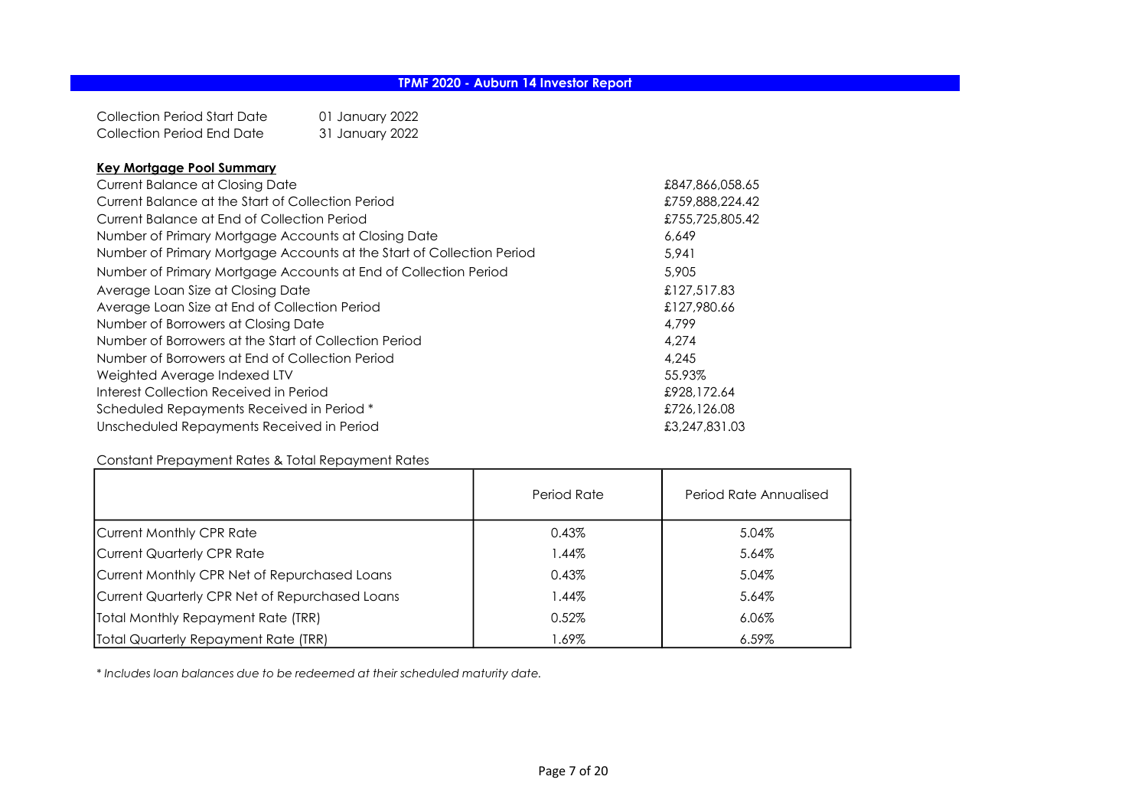| Collection Period Start Date | 01 January 2022 |
|------------------------------|-----------------|
| Collection Period End Date   | 31 January 2022 |

### Key Mortgage Pool Summary

| <b>Current Balance at Closing Date</b>                                | £847,866,058.65 |
|-----------------------------------------------------------------------|-----------------|
| Current Balance at the Start of Collection Period                     | £759,888,224.42 |
| Current Balance at End of Collection Period                           | £755,725,805.42 |
| Number of Primary Mortgage Accounts at Closing Date                   | 6.649           |
| Number of Primary Mortgage Accounts at the Start of Collection Period | 5.941           |
| Number of Primary Mortgage Accounts at End of Collection Period       | 5,905           |
| Average Loan Size at Closing Date                                     | £127,517.83     |
| Average Loan Size at End of Collection Period                         | £127,980.66     |
| Number of Borrowers at Closing Date                                   | 4.799           |
| Number of Borrowers at the Start of Collection Period                 | 4,274           |
| Number of Borrowers at End of Collection Period                       | 4.245           |
| Weighted Average Indexed LTV                                          | 55.93%          |
| Interest Collection Received in Period                                | £928,172.64     |
| Scheduled Repayments Received in Period *                             | £726,126.08     |
| Unscheduled Repayments Received in Period                             | £3,247,831.03   |

## Constant Prepayment Rates & Total Repayment Rates

|                                                | Period Rate | Period Rate Annualised |
|------------------------------------------------|-------------|------------------------|
| Current Monthly CPR Rate                       | 0.43%       | 5.04%                  |
| Current Quarterly CPR Rate                     | 1.44%       | 5.64%                  |
| Current Monthly CPR Net of Repurchased Loans   | 0.43%       | 5.04%                  |
| Current Quarterly CPR Net of Repurchased Loans | $1.44\%$    | 5.64%                  |
| Total Monthly Repayment Rate (TRR)             | 0.52%       | $6.06\%$               |
| Total Quarterly Repayment Rate (TRR)           | 1.69%       | $6.59\%$               |

\* Includes loan balances due to be redeemed at their scheduled maturity date.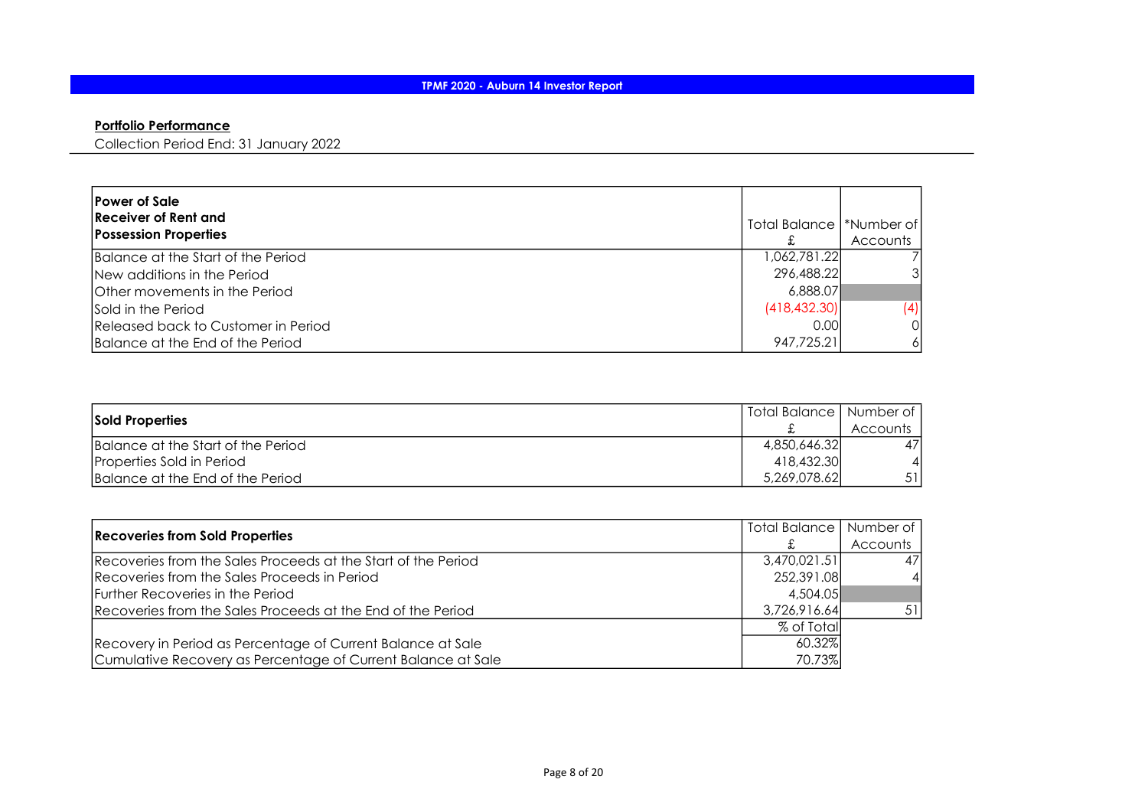## Portfolio Performance

Collection Period End: 31 January 2022

| <b>Power of Sale</b><br>Receiver of Rent and<br><b>Possession Properties</b> | Total Balance   *Number of | Accounts |
|------------------------------------------------------------------------------|----------------------------|----------|
| Balance at the Start of the Period                                           | 1,062,781.22               |          |
| New additions in the Period                                                  | 296,488.22                 |          |
| <b>Other movements in the Period</b>                                         | 6,888.07                   |          |
| Sold in the Period                                                           | (418, 432, 30)             | (4)      |
| Released back to Customer in Period                                          | 0.001                      |          |
| Balance at the End of the Period                                             | 947,725.21                 |          |

| <b>Sold Properties</b>             | Total Balance   Number of |          |
|------------------------------------|---------------------------|----------|
|                                    |                           | Accounts |
| Balance at the Start of the Period | 4,850,646,32              | 471      |
| Properties Sold in Period          | 418,432.30                |          |
| Balance at the End of the Period   | 5,269,078.62              | 51       |

| <b>Recoveries from Sold Properties</b>                        | Total Balance   Number of |          |
|---------------------------------------------------------------|---------------------------|----------|
|                                                               |                           | Accounts |
| Recoveries from the Sales Proceeds at the Start of the Period | 3,470,021,51              | 47       |
| Recoveries from the Sales Proceeds in Period                  | 252,391.08                |          |
| Further Recoveries in the Period                              | 4.504.05                  |          |
| Recoveries from the Sales Proceeds at the End of the Period   | 3,726,916.64              | 51       |
|                                                               | % of Totall               |          |
| Recovery in Period as Percentage of Current Balance at Sale   | 60.32%                    |          |
| Cumulative Recovery as Percentage of Current Balance at Sale  | 70.73%                    |          |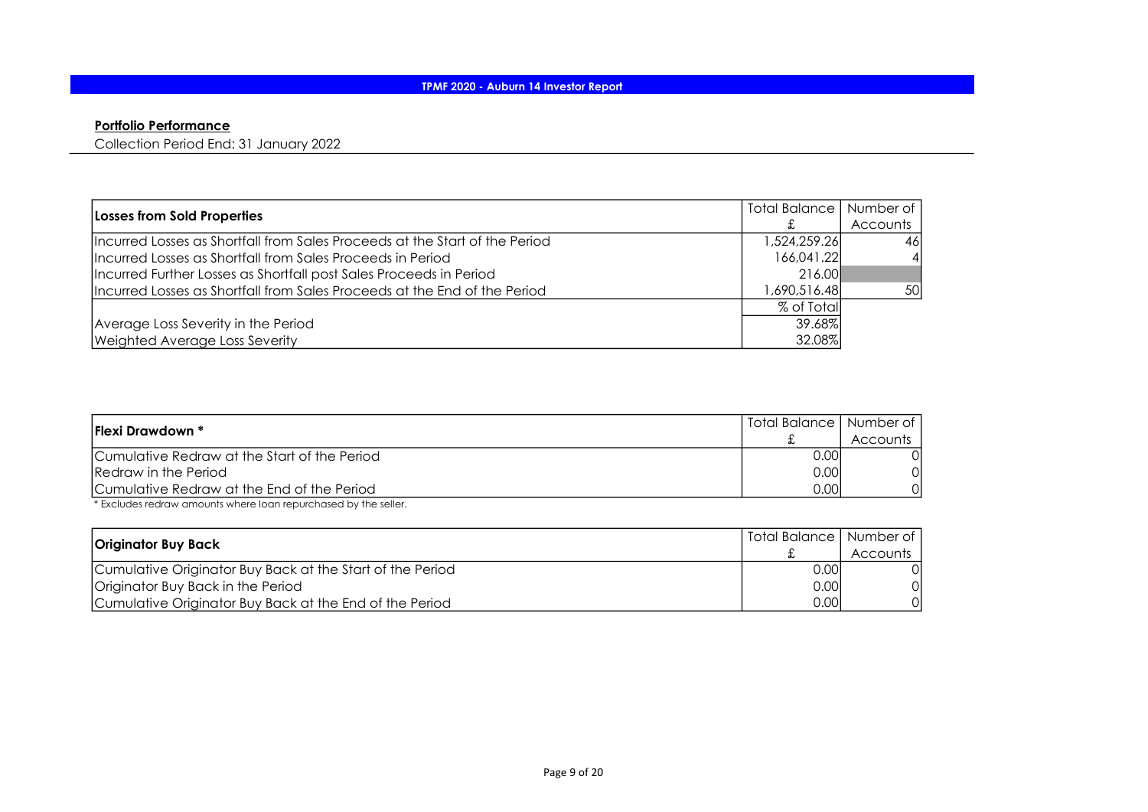## Portfolio Performance

Collection Period End: 31 January 2022

| Losses from Sold Properties                                                 | Total Balance   Number of |          |
|-----------------------------------------------------------------------------|---------------------------|----------|
|                                                                             |                           | Accounts |
| Incurred Losses as Shortfall from Sales Proceeds at the Start of the Period | 1,524,259.26              | 461      |
| Incurred Losses as Shortfall from Sales Proceeds in Period                  | 166,041.22                |          |
| Incurred Further Losses as Shortfall post Sales Proceeds in Period          | 216.00                    |          |
| Incurred Losses as Shortfall from Sales Proceeds at the End of the Period   | 690,516.48, ا             | 50       |
|                                                                             | % of Totall               |          |
| Average Loss Severity in the Period                                         | 39.68%l                   |          |
| Weighted Average Loss Severity                                              | 32.08%                    |          |

| <b>IFlexi Drawdown *</b>                     | Total Balance   Number of |          |
|----------------------------------------------|---------------------------|----------|
|                                              |                           | Accounts |
| Cumulative Redraw at the Start of the Period | 0.00I                     | ΟI       |
| Redraw in the Period                         | 0.001                     | Οl       |
| ICumulative Redraw at the End of the Period  | 0.001                     | ΩI       |

\* Excludes redraw amounts where loan repurchased by the seller.

| Originator Buy Back                                       | Total Balance   Number of |          |
|-----------------------------------------------------------|---------------------------|----------|
|                                                           |                           | Accounts |
| Cumulative Originator Buy Back at the Start of the Period | 0.001                     |          |
| Originator Buy Back in the Period                         | 0.001                     |          |
| Cumulative Originator Buy Back at the End of the Period   | 0.001                     |          |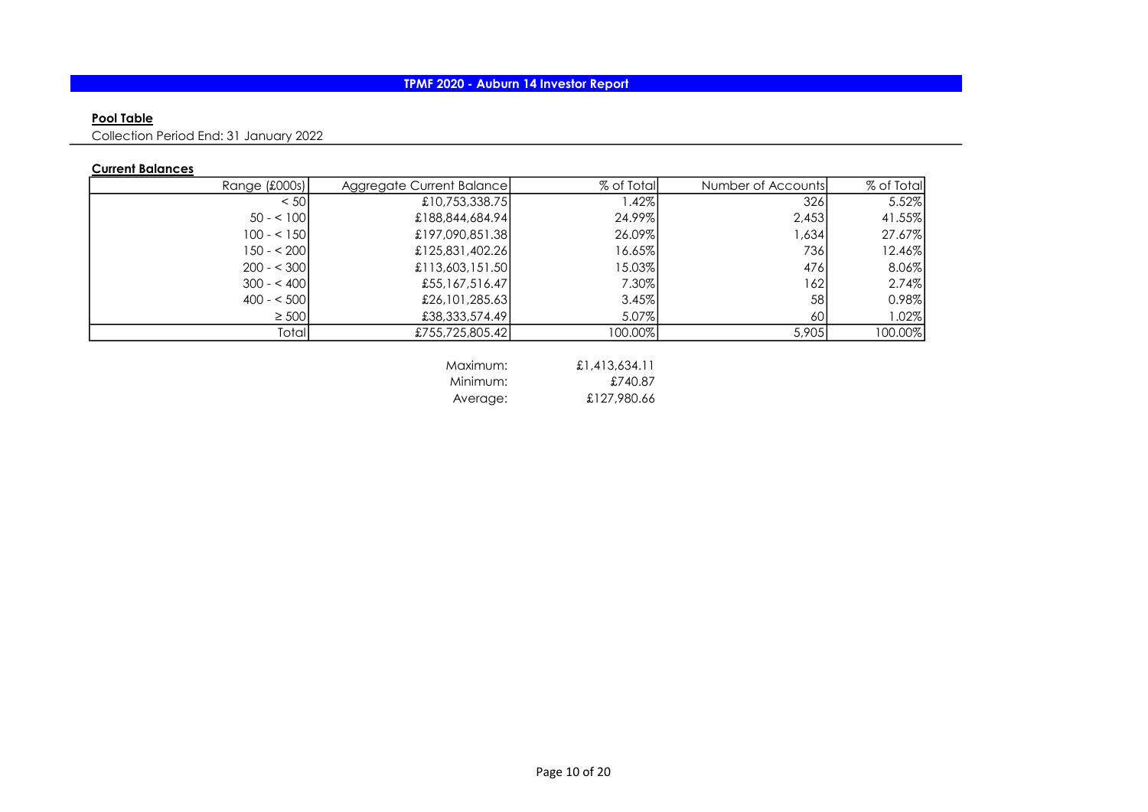## Pool Table

Collection Period End: 31 January 2022

## Current Balances

| Range (£000s) | Aggregate Current Balance | % of Total | Number of Accounts | % of Total |
|---------------|---------------------------|------------|--------------------|------------|
| < 501         | £10,753,338.75            | ا42%. ا    | 326                | 5.52%      |
| $50 - 100$    | £188,844,684.94           | 24.99%     | 2,453              | 41.55%     |
| $100 - 150$   | £197,090,851.38           | 26.09%     | 1,634              | 27.67%     |
| 150 - < 2001  | £125,831,402.26           | 16.65%     | 736                | 12.46%     |
| $200 - 300$   | £113,603,151.50           | 15.03%     | 476                | 8.06%      |
| $300 - 400$   | £55,167,516.47            | 7.30%      | 162                | 2.74%      |
| $400 - 500$   | £26,101,285.63            | 3.45%      | 58                 | 0.98%      |
| $\geq 500$    | £38,333,574.49            | 5.07%      | 60                 | 1.02%      |
| Total         | £755,725,805.42           | 100.00%    | 5,905              | 100.00%    |

| Maximum: | £1,413,634.11 |
|----------|---------------|
| Minimum: | £740.87       |
| Average: | £127,980.66   |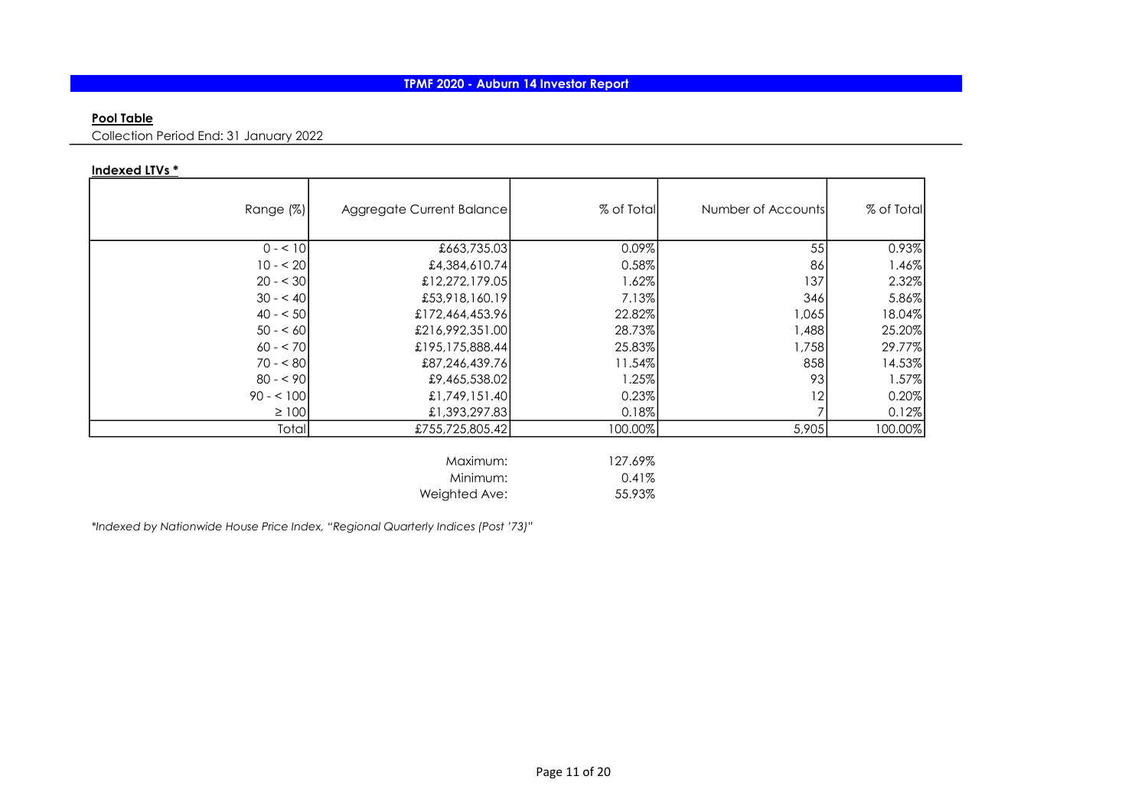### Pool Table

Collection Period End: 31 January 2022

## Indexed LTVs \*

| Range $(\%)$ | Aggregate Current Balance | % of Total | Number of Accounts | % of Total |
|--------------|---------------------------|------------|--------------------|------------|
| $0 - 10$     | £663,735.03               | 0.09%      | 55                 | 0.93%      |
| $10 - 20$    | £4,384,610.74             | 0.58%      | 86                 | 1.46%      |
| $20 - 30$    | £12,272,179.05            | 1.62%      | 137                | 2.32%      |
| $30 - 40$    | £53,918,160.19            | 7.13%      | 346                | 5.86%      |
| $40 - 50$    | £172,464,453.96           | 22.82%     | 1,065              | 18.04%     |
| $50 - 60$    | £216,992,351.00           | 28.73%     | 1,488              | 25.20%     |
| $60 - 570$   | £195,175,888.44           | 25.83%     | 1,758              | 29.77%     |
| $70 - 80$    | £87,246,439.76            | $11.54\%$  | 858                | 14.53%     |
| $80 - 90$    | £9,465,538.02             | 1.25%      | 93                 | 1.57%      |
| $90 - 100$   | £1,749,151.40             | 0.23%      | 12                 | 0.20%      |
| $\geq 100$   | £1,393,297.83             | 0.18%      |                    | 0.12%      |
| Total        | £755,725,805.42           | 100.00%    | 5,905              | 100.00%    |

| Maximum:      | 127.69% |
|---------------|---------|
| Minimum:      | 0.41%   |
| Weighted Ave: | 55.93%  |

\*Indexed by Nationwide House Price Index, "Regional Quarterly Indices (Post '73)"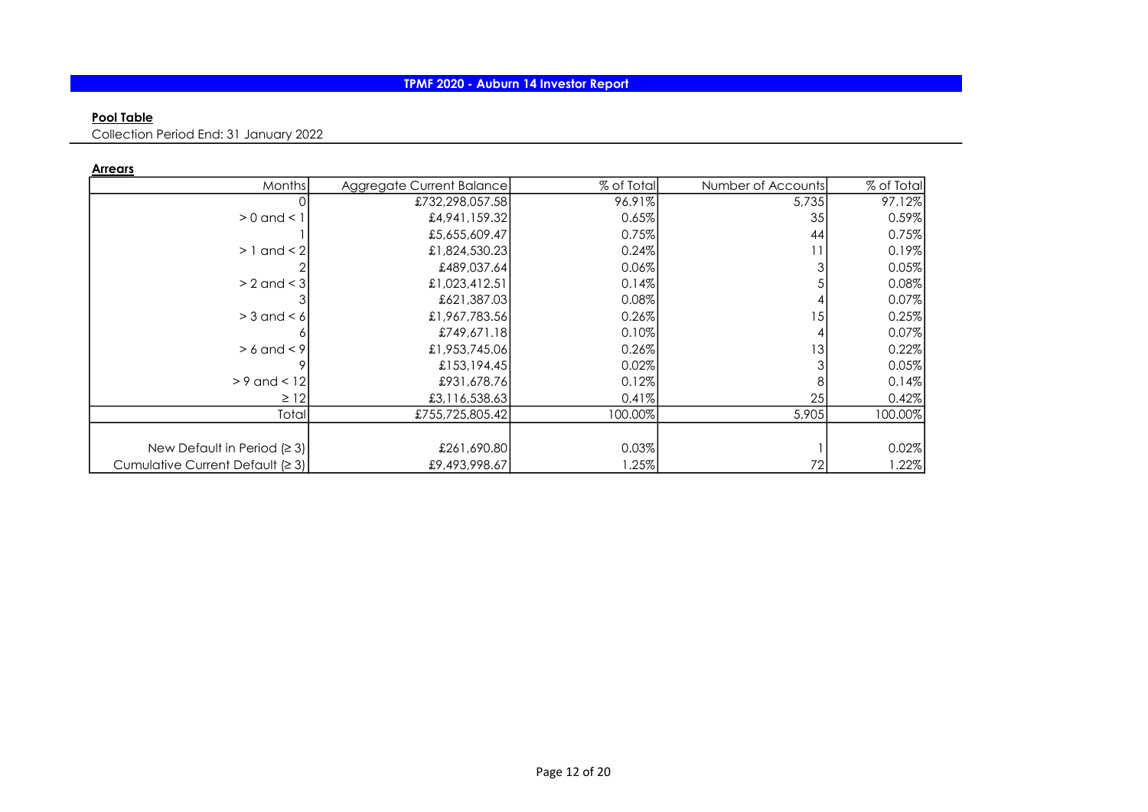## Pool Table

Collection Period End: 31 January 2022

Arrears

| Months                           | Aggregate Current Balance | % of Total | Number of Accounts | % of Total |
|----------------------------------|---------------------------|------------|--------------------|------------|
|                                  | £732,298,057.58           | 96.91%     | 5,735              | 97.12%     |
| $> 0$ and $< 1$                  | £4,941,159.32             | 0.65%      | 35                 | 0.59%      |
|                                  | £5,655,609.47             | 0.75%      | 44                 | 0.75%      |
| $> 1$ and $< 2$                  | £1,824,530.23             | 0.24%      |                    | 0.19%      |
|                                  | £489,037.64               | 0.06%      |                    | 0.05%      |
| $> 2$ and $<$ 3                  | £1,023,412.51             | 0.14%      |                    | 0.08%      |
|                                  | £621,387.031              | 0.08%      |                    | 0.07%      |
| $>$ 3 and < 6                    | £1,967,783.56             | 0.26%      | 15                 | 0.25%      |
|                                  | £749,671.181              | 0.10%      |                    | 0.07%      |
| $> 6$ and $< 9$                  | £1,953,745.06             | 0.26%      | 3                  | 0.22%      |
|                                  | £153,194.45               | 0.02%      |                    | 0.05%      |
| $> 9$ and $< 12$                 | £931,678.761              | 0.12%      |                    | 0.14%      |
| $\geq$ 12                        | £3,116,538.63             | 0.41%      | 25                 | 0.42%      |
| Total                            | £755,725,805.42           | 100.00%    | 5,905              | 100.00%    |
|                                  |                           |            |                    |            |
| New Default in Period $(23)$     | £261,690.80               | 0.03%      |                    | 0.02%      |
| Cumulative Current Default (≥ 3) | £9,493,998.67             | $1.25\%$   | 72                 | 1.22%      |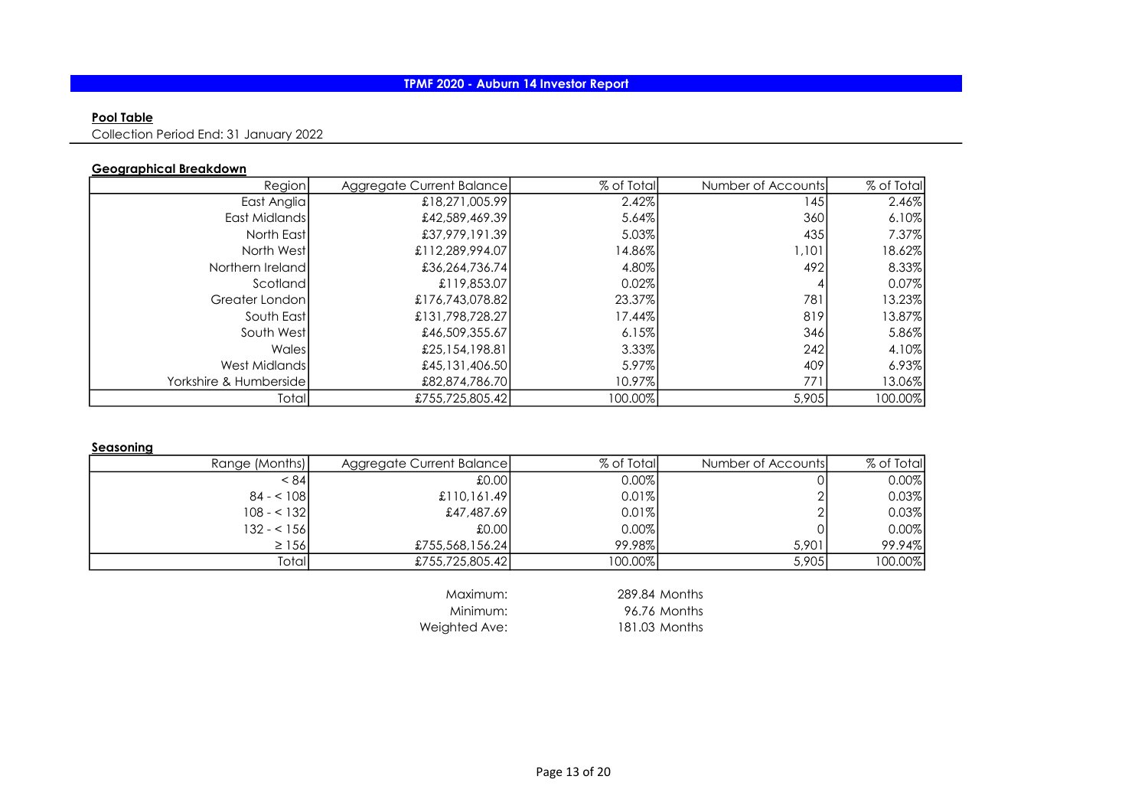## Pool Table

Collection Period End: 31 January 2022

## Geographical Breakdown

| Region                  | Aggregate Current Balance | % of Total | Number of Accounts | % of Total |
|-------------------------|---------------------------|------------|--------------------|------------|
| East Anglia             | £18,271,005.99            | 2.42%      | 145                | 2.46%      |
| East Midlands           | £42,589,469.39            | 5.64%      | 360                | 6.10%      |
| North East              | £37,979,191.39            | 5.03%      | 435                | 7.37%      |
| North Westl             | £112,289,994.07           | 14.86%     | 1,101              | 18.62%     |
| Northern Ireland        | £36,264,736.74            | 4.80%      | 492                | 8.33%      |
| Scotland                | £119,853.07               | 0.02%      |                    | 0.07%      |
| Greater London          | £176,743,078.82           | 23.37%     | 781                | 13.23%     |
| South Eastl             | £131,798,728,27           | 17.44%     | 819                | 13.87%     |
| South West              | £46,509,355.67            | 6.15%      | 346I               | 5.86%      |
| Wales                   | £25,154,198.81            | 3.33%      | 242                | 4.10%      |
| West Midlands           | £45,131,406.50            | 5.97%      | 409                | 6.93%      |
| Yorkshire & Humbersidel | £82,874,786.70            | 10.97%     | 771                | 13.06%     |
| Totall                  | £755,725,805.42           | 100.00%    | 5,905              | 100.00%    |

### Seasoning

| Range (Months) | Aggregate Current Balance | % of Totall | Number of Accounts | % of Total |
|----------------|---------------------------|-------------|--------------------|------------|
| < 84           | £0.00                     | $0.00\%$    |                    | 0.00%      |
| $84 - 108$     | £110,161.49               | 0.01%       |                    | 0.03%      |
| $108 - 132$    | £47,487.69                | 0.01%       |                    | 0.03%      |
| 132 - < 1561   | £0.00                     | 0.00%       |                    | 0.00%      |
| $\geq$ 156     | £755,568,156.24           | 99.98%      | 5.901              | 99.94%     |
| Totall         | £755,725,805.42           | 100.00%     | 5,905              | 100.00%    |

Weighted Ave:

Maximum: 289.84 Months<br>Minimum: 96.76 Months 96.76 Months<br>181.03 Months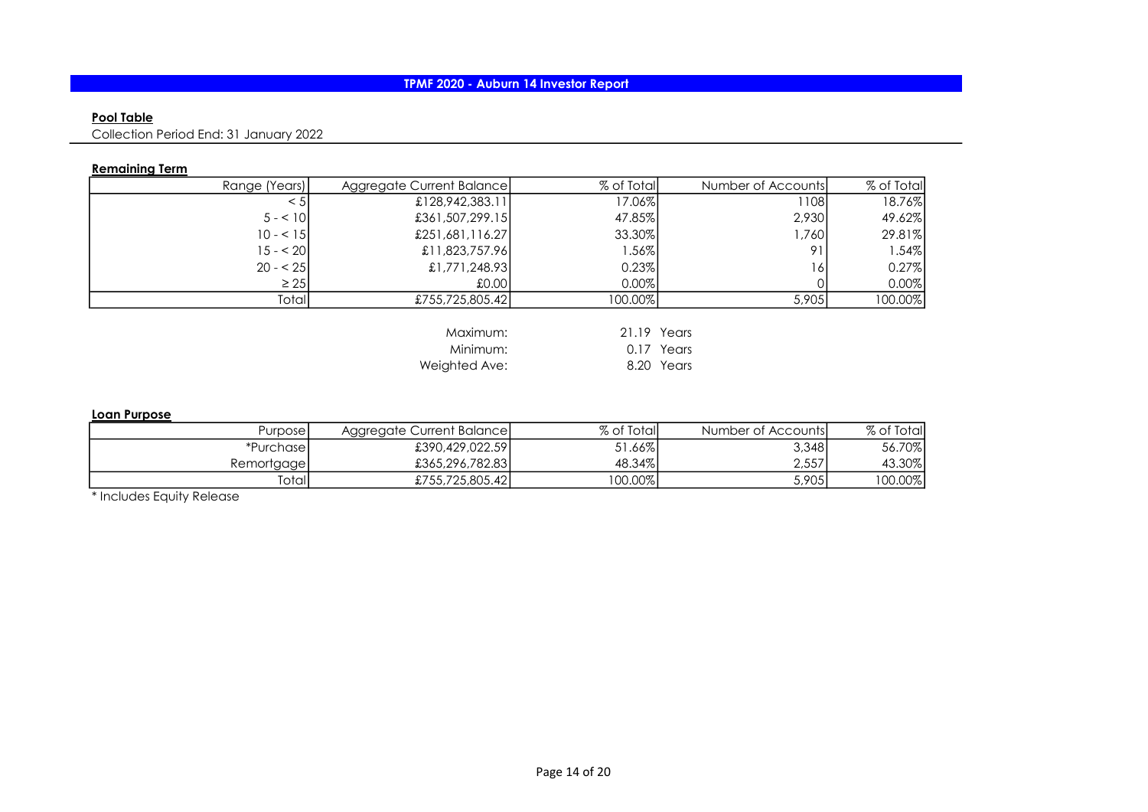## Pool Table

Collection Period End: 31 January 2022

## Remaining Term

| Range (Years)   |                                                                                                                                | % of Total                                                                                                       |
|-----------------|--------------------------------------------------------------------------------------------------------------------------------|------------------------------------------------------------------------------------------------------------------|
| £128,942,383.11 | l 1081                                                                                                                         | 18.76%                                                                                                           |
| $5 - 10$        |                                                                                                                                | 49.62%                                                                                                           |
| $10 - 51$       | 1.7601                                                                                                                         | 29.81%                                                                                                           |
| $15 - 20$       | Q <sub>1</sub>                                                                                                                 | 1.54%                                                                                                            |
| $20 - 25$       | 6                                                                                                                              | 0.27%                                                                                                            |
| $\geq 25$       |                                                                                                                                | 0.00%                                                                                                            |
| Totall          | 5,905                                                                                                                          | 100.00%                                                                                                          |
|                 | Aggregate Current Balance<br>£361,507,299.15<br>£251,681,116.27<br>£11,823,757.96<br>£1,771,248.93<br>.0001<br>£755,725,805.42 | % of Total<br>Number of Accounts<br>17.06%<br>2,930<br>47.85%<br>33.30%<br>$1.56\%$<br>0.23%<br>0.00%<br>100.00% |

| Maximum:      | 21.19 Years |            |
|---------------|-------------|------------|
| Minimum:      |             | 0.17 Years |
| Weighted Ave: |             | 8.20 Years |

#### Loan Purpose

| Purposel   | Aggregate Current Balance | % of Total | Number of Accounts | % of Totall |
|------------|---------------------------|------------|--------------------|-------------|
| *Purchase1 | £390,429,022.59           | 51.66%     | 3,348              | 56.70%      |
| Remortgage | £365,296,782.83           | 48.34%     | 2,557              | 43.30%      |
| Totall     | £755,725,805.42           | 100.00%    | 5,905              | 100.00%     |

\* Includes Equity Release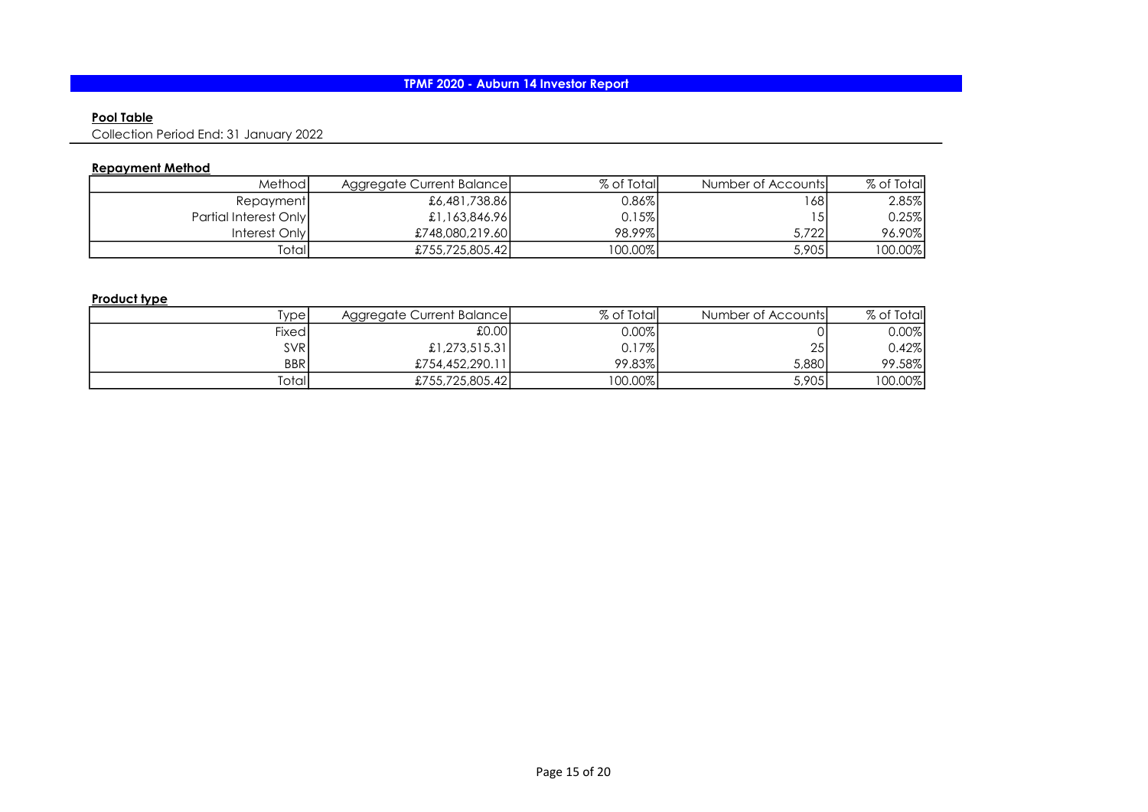### Pool Table

Collection Period End: 31 January 2022

## Repayment Method

| Methodl               | Aggregate Current Balance | % of Totall | Number of Accounts | % of Total |
|-----------------------|---------------------------|-------------|--------------------|------------|
| Repayment             | £6,481,738.86             | $0.86\%$    | 1681               | 2.85%      |
| Partial Interest Only | £1,163,846.96             | 0.15%       |                    | 0.25%      |
| Interest Only         | £748,080,219.60           | 98.99%      | 5.722              | 96.90%     |
| Totall                | £755,725,805.42           | 100.00%     | 5,905              | 100.00%    |

## Product type

| Type       | Aggregate Current Balance | % of Totall | Number of Accounts | % of Total |
|------------|---------------------------|-------------|--------------------|------------|
| Fixed      | 100.01                    | $0.00\%$    |                    | 0.00%      |
| <b>SVR</b> | £1,273,515.31             | 0.17%       | 25                 | $0.42\%$   |
| <b>BBR</b> | £754,452,290.11           | 99.83%      | 5,880              | 99.58%     |
| Totall     | £755,725,805.42           | 100.00%     | 5,905              | 100.00%    |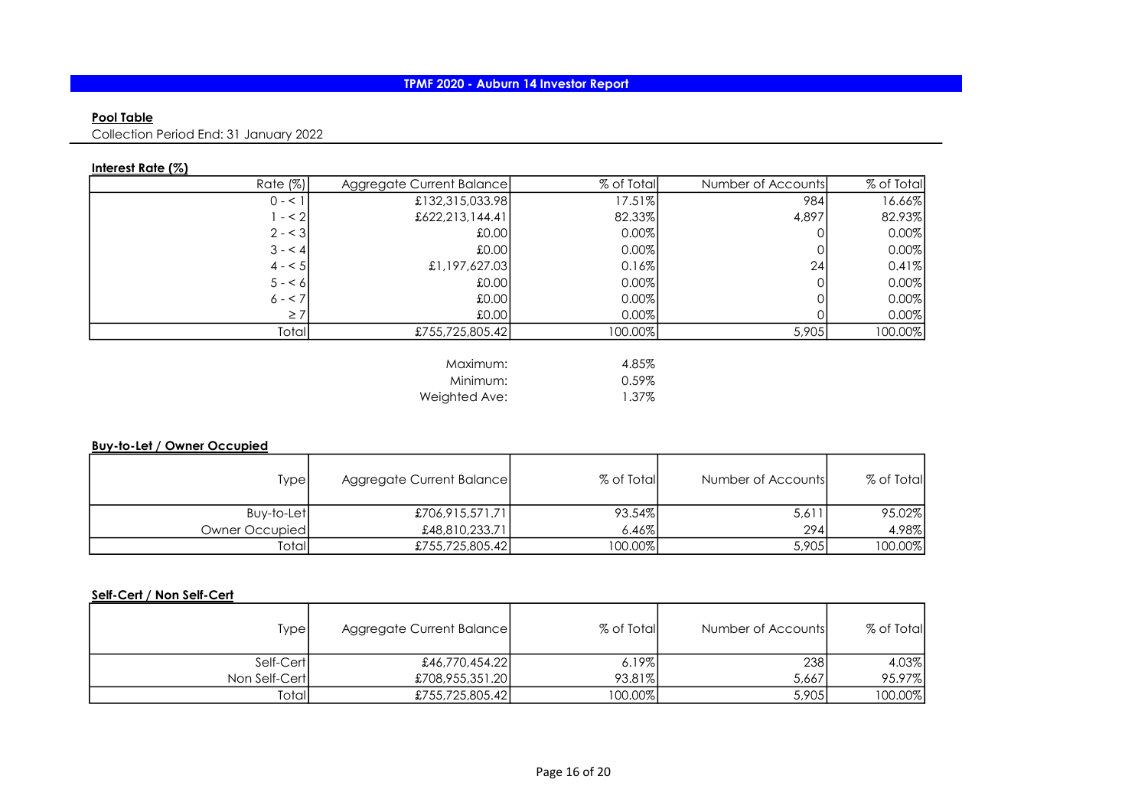### Pool Table

Collection Period End: 31 January 2022

## Interest Rate (%)

| Rate (%) | Aggregate Current Balance | % of Total | Number of Accounts | % of Total |
|----------|---------------------------|------------|--------------------|------------|
| $0 - 1$  | £132,315,033.98           | 17.51%     | 984                | 16.66%     |
| $- < 2$  | £622,213,144.41           | 82.33%     | 4,897              | 82.93%     |
| $2 - 3$  | £0.00                     | 0.00%      |                    | 0.00%      |
| $3 - 4$  | £0.00                     | 0.00%      |                    | 0.00%      |
| $4 - 5$  | £1,197,627.03             | 0.16%      | 24                 | 0.41%      |
| $5 - 6$  | £0.00                     | 0.00%      |                    | 0.00%      |
| $6 - 7$  | £0.00                     | 0.00%      |                    | 0.00%      |
| $\geq 7$ | £0.00                     | 0.00%      |                    | 0.00%      |
| Total    | £755,725,805.42           | 100.00%    | 5,905              | 100.00%    |
|          |                           |            |                    |            |
|          | $M$ aximum $\cdot$        | 485%       |                    |            |

Maximum: 4.85% Minimum: 0.59%<br>
ghted Ave: 1.37% Weighted Ave:

## Buy-to-Let / Owner Occupied

| Type           | Aggregate Current Balance | % of Total | Number of Accounts | % of Total |
|----------------|---------------------------|------------|--------------------|------------|
| Buy-to-Let     | £706,915,571.71           | 93.54%     | 5,611              | 95.02%     |
| Owner Occupied | £48,810,233.71            | 6.46%      | 2941               | 4.98%      |
| <b>Total</b>   | £755,725,805.42           | $100.00\%$ | 5,905              | 100.00%    |

# Self-Cert / Non Self-Cert

| Type          | Aggregate Current Balance | % of Total | Number of Accounts | % of Total |
|---------------|---------------------------|------------|--------------------|------------|
| Self-Cert     | £46,770,454.22            | 6.19%      | 238                | 4.03%      |
| Non Self-Cert | £708,955,351.20           | 93.81%     | 5,667              | 95.97%     |
| Totall        | £755,725,805.42           | 100.00%    | 5,905              | 100.00%    |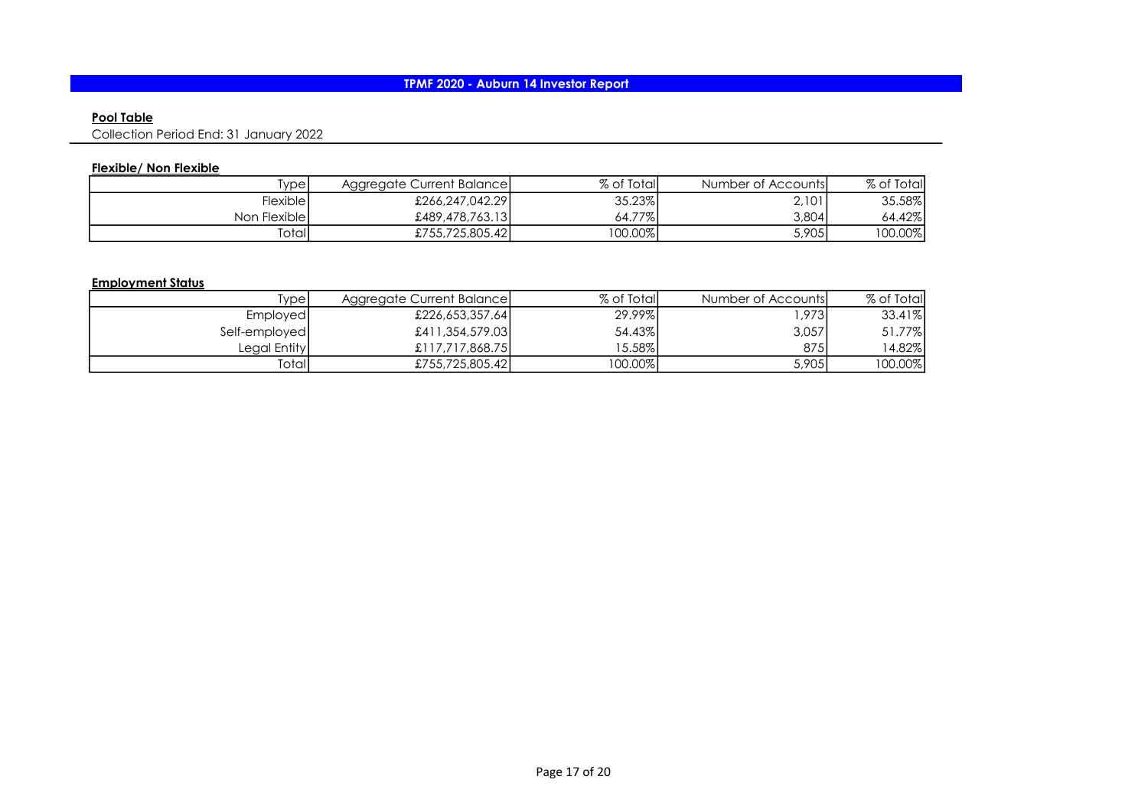### Pool Table

Collection Period End: 31 January 2022

## Flexible/ Non Flexible

| [ype]        | <b>Aggregate Current Balancel</b> | % of Total | Number of Accounts | % of Total |
|--------------|-----------------------------------|------------|--------------------|------------|
| Flexible I   | £266,247,042.29                   | 35.23%     | 2,101              | 35.58%     |
| Non Flexible | £489,478,763.13                   | 64.77%     | 3,804              | 64.42%     |
| Totall       | £755,725,805.42                   | 100.00%    | 5,905              | 100.00%    |

#### Employment Status

| Type            | Aggregate Current Balance | % of Total  | Number of Accounts | % of Total |
|-----------------|---------------------------|-------------|--------------------|------------|
| <b>Employed</b> | £226,653,357.64           | 29.99%      | .973               | $33.41\%$  |
| Self-employed   | £411,354,579.03           | 54.43%      | 3,057              | 51.77%     |
| Legal Entity    | £117.717.868.75           | 15.58%      | 875                | 14.82%     |
| Totall          | £755,725,805.42           | $ 00.00\% $ | 5,905              | 00.00%     |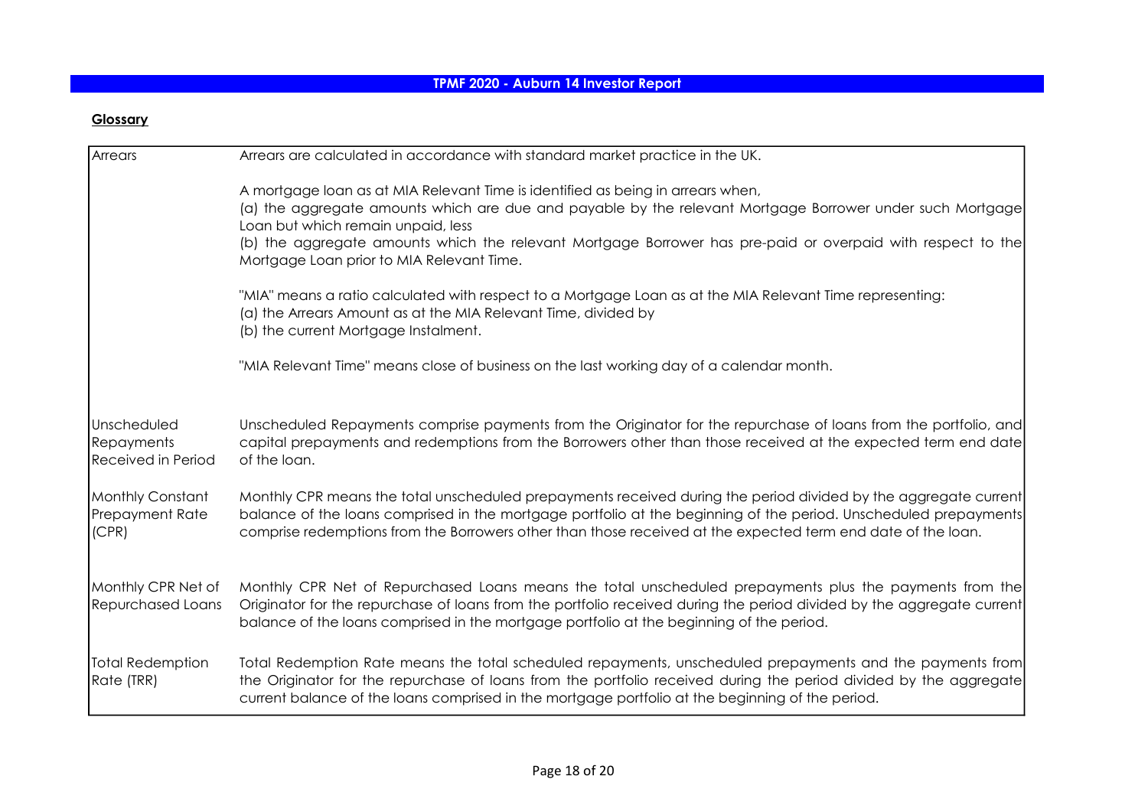# **Glossary**

| Arrears                                                | Arrears are calculated in accordance with standard market practice in the UK.                                                                                                                                                                                                                                                                                                                  |
|--------------------------------------------------------|------------------------------------------------------------------------------------------------------------------------------------------------------------------------------------------------------------------------------------------------------------------------------------------------------------------------------------------------------------------------------------------------|
|                                                        | A mortgage loan as at MIA Relevant Time is identified as being in arrears when,<br>(a) the aggregate amounts which are due and payable by the relevant Mortgage Borrower under such Mortgage<br>Loan but which remain unpaid, less<br>(b) the aggregate amounts which the relevant Mortgage Borrower has pre-paid or overpaid with respect to the<br>Mortgage Loan prior to MIA Relevant Time. |
|                                                        | "MIA" means a ratio calculated with respect to a Mortgage Loan as at the MIA Relevant Time representing:<br>(a) the Arrears Amount as at the MIA Relevant Time, divided by<br>(b) the current Mortgage Instalment.                                                                                                                                                                             |
|                                                        | "MIA Relevant Time" means close of business on the last working day of a calendar month.                                                                                                                                                                                                                                                                                                       |
| Unscheduled<br>Repayments<br><b>Received in Period</b> | Unscheduled Repayments comprise payments from the Originator for the repurchase of loans from the portfolio, and<br>capital prepayments and redemptions from the Borrowers other than those received at the expected term end date<br>of the loan.                                                                                                                                             |
| Monthly Constant<br>Prepayment Rate<br>(CPR)           | Monthly CPR means the total unscheduled prepayments received during the period divided by the aggregate current<br>balance of the loans comprised in the mortgage portfolio at the beginning of the period. Unscheduled prepayments<br>comprise redemptions from the Borrowers other than those received at the expected term end date of the loan.                                            |
| Monthly CPR Net of<br>Repurchased Loans                | Monthly CPR Net of Repurchased Loans means the total unscheduled prepayments plus the payments from the<br>Originator for the repurchase of loans from the portfolio received during the period divided by the aggregate current<br>balance of the loans comprised in the mortgage portfolio at the beginning of the period.                                                                   |
| Total Redemption<br>Rate (TRR)                         | Total Redemption Rate means the total scheduled repayments, unscheduled prepayments and the payments from<br>the Originator for the repurchase of loans from the portfolio received during the period divided by the aggregate<br>current balance of the loans comprised in the mortgage portfolio at the beginning of the period.                                                             |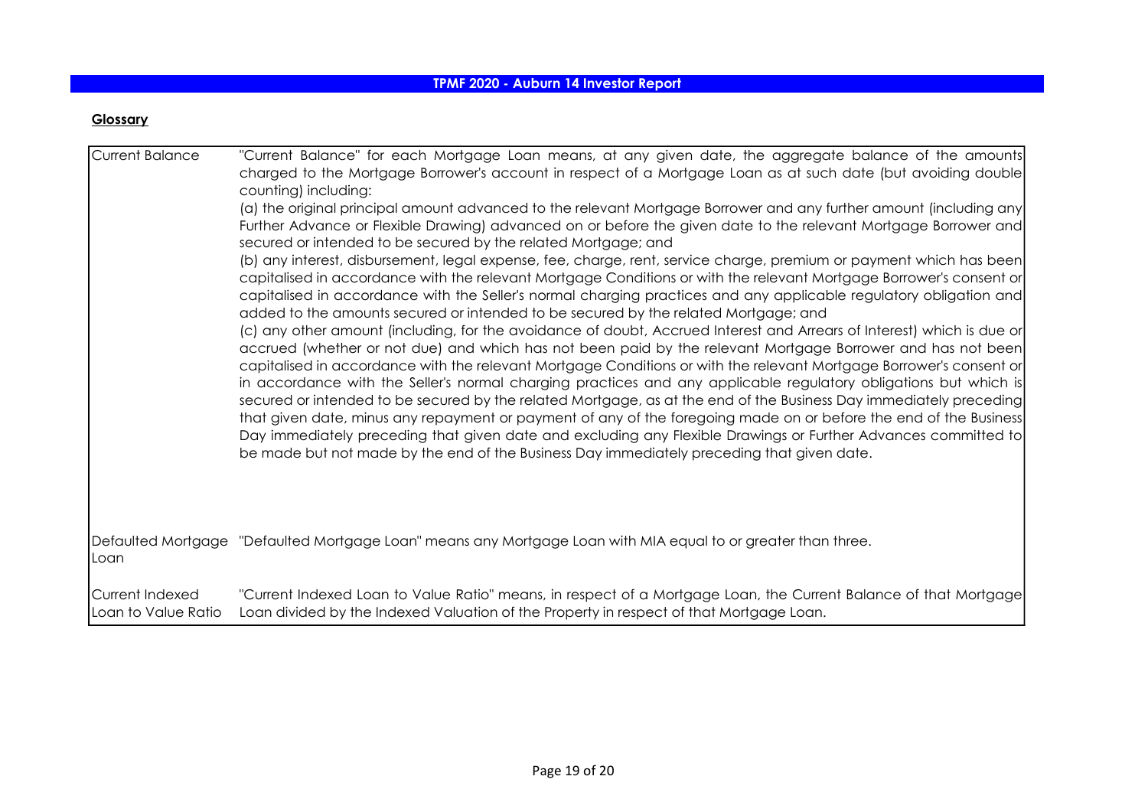## **Glossary**